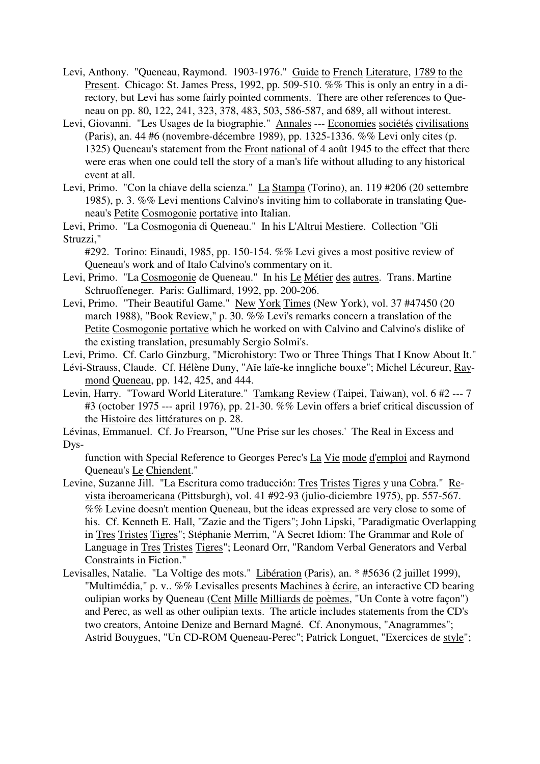- Levi, Anthony. "Queneau, Raymond. 1903-1976." Guide to French Literature, 1789 to the Present. Chicago: St. James Press, 1992, pp. 509-510. %% This is only an entry in a directory, but Levi has some fairly pointed comments. There are other references to Queneau on pp. 80, 122, 241, 323, 378, 483, 503, 586-587, and 689, all without interest.
- Levi, Giovanni. "Les Usages de la biographie." Annales --- Economies sociétés civilisations (Paris), an. 44 #6 (novembre-décembre 1989), pp. 1325-1336. %% Levi only cites (p. 1325) Queneau's statement from the Front national of 4 août 1945 to the effect that there were eras when one could tell the story of a man's life without alluding to any historical event at all.
- Levi, Primo. "Con la chiave della scienza." La Stampa (Torino), an. 119 #206 (20 settembre 1985), p. 3. %% Levi mentions Calvino's inviting him to collaborate in translating Queneau's Petite Cosmogonie portative into Italian.
- Levi, Primo. "La Cosmogonia di Queneau." In his L'Altrui Mestiere. Collection "Gli Struzzi,"

#292. Torino: Einaudi, 1985, pp. 150-154. %% Levi gives a most positive review of Queneau's work and of Italo Calvino's commentary on it.

- Levi, Primo. "La Cosmogonie de Queneau." In his Le Métier des autres. Trans. Martine Schruoffeneger. Paris: Gallimard, 1992, pp. 200-206.
- Levi, Primo. "Their Beautiful Game." New York Times (New York), vol. 37 #47450 (20 march 1988), "Book Review," p.  $30. \%$  Levi's remarks concern a translation of the Petite Cosmogonie portative which he worked on with Calvino and Calvino's dislike of the existing translation, presumably Sergio Solmi's.
- Levi, Primo. Cf. Carlo Ginzburg, "Microhistory: Two or Three Things That I Know About It."
- Lévi-Strauss, Claude. Cf. Hélène Duny, "Aïe laïe-ke inngliche bouxe"; Michel Lécureur, Raymond Queneau, pp. 142, 425, and 444.
- Levin, Harry. "Toward World Literature." Tamkang Review (Taipei, Taiwan), vol. 6 #2 --- 7 #3 (october 1975 --- april 1976), pp. 21-30. %% Levin offers a brief critical discussion of the Histoire des littératures on p. 28.
- Lévinas, Emmanuel. Cf. Jo Frearson, "'Une Prise sur les choses.' The Real in Excess and Dys-

function with Special Reference to Georges Perec's La Vie mode d'emploi and Raymond Queneau's Le Chiendent."

- Levine, Suzanne Jill. "La Escritura como traducción: Tres Tristes Tigres y una Cobra." Revista iberoamericana (Pittsburgh), vol. 41 #92-93 (julio-diciembre 1975), pp. 557-567. %% Levine doesn't mention Queneau, but the ideas expressed are very close to some of his. Cf. Kenneth E. Hall, "Zazie and the Tigers"; John Lipski, "Paradigmatic Overlapping in Tres Tristes Tigres"; Stéphanie Merrim, "A Secret Idiom: The Grammar and Role of Language in Tres Tristes Tigres"; Leonard Orr, "Random Verbal Generators and Verbal Constraints in Fiction."
- Levisalles, Natalie. "La Voltige des mots." Libération (Paris), an. \* #5636 (2 juillet 1999), "Multimédia," p. v.. %% Levisalles presents Machines à écrire, an interactive CD bearing oulipian works by Queneau (Cent Mille Milliards de poèmes, "Un Conte à votre façon") and Perec, as well as other oulipian texts. The article includes statements from the CD's two creators, Antoine Denize and Bernard Magné. Cf. Anonymous, "Anagrammes"; Astrid Bouygues, "Un CD-ROM Queneau-Perec"; Patrick Longuet, "Exercices de style";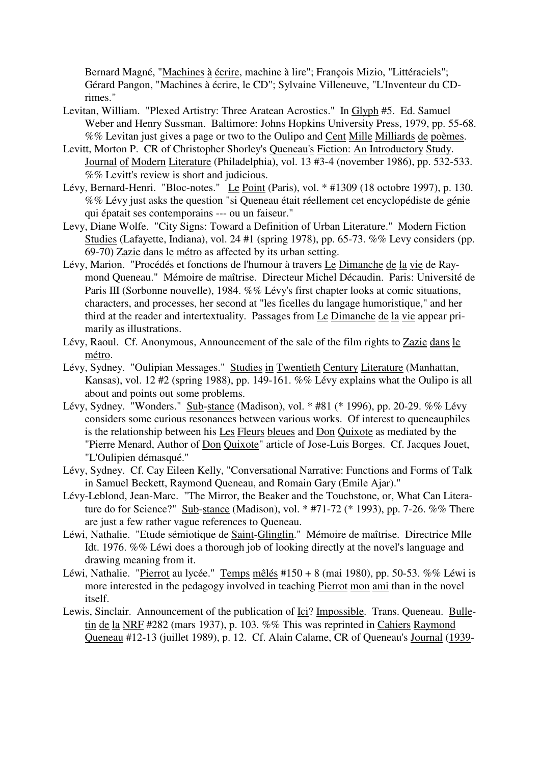Bernard Magné, "Machines à écrire, machine à lire"; François Mizio, "Littéraciels"; Gérard Pangon, "Machines à écrire, le CD"; Sylvaine Villeneuve, "L'Inventeur du CDrimes."

- Levitan, William. "Plexed Artistry: Three Aratean Acrostics." In Glyph #5. Ed. Samuel Weber and Henry Sussman. Baltimore: Johns Hopkins University Press, 1979, pp. 55-68. %% Levitan just gives a page or two to the Oulipo and Cent Mille Milliards de poèmes.
- Levitt, Morton P. CR of Christopher Shorley's Queneau's Fiction: An Introductory Study. Journal of Modern Literature (Philadelphia), vol. 13 #3-4 (november 1986), pp. 532-533. %% Levitt's review is short and judicious.
- Lévy, Bernard-Henri. "Bloc-notes." Le Point (Paris), vol. \* #1309 (18 octobre 1997), p. 130. %% Lévy just asks the question "si Queneau était réellement cet encyclopédiste de génie qui épatait ses contemporains --- ou un faiseur."
- Levy, Diane Wolfe. "City Signs: Toward a Definition of Urban Literature." Modern Fiction Studies (Lafayette, Indiana), vol. 24 #1 (spring 1978), pp. 65-73. %% Levy considers (pp. 69-70) Zazie dans le métro as affected by its urban setting.
- Lévy, Marion. "Procédés et fonctions de l'humour à travers Le Dimanche de la vie de Raymond Queneau." Mémoire de maîtrise. Directeur Michel Décaudin. Paris: Université de Paris III (Sorbonne nouvelle), 1984. %% Lévy's first chapter looks at comic situations, characters, and processes, her second at "les ficelles du langage humoristique," and her third at the reader and intertextuality. Passages from Le Dimanche de la vie appear primarily as illustrations.
- Lévy, Raoul. Cf. Anonymous, Announcement of the sale of the film rights to Zazie dans le métro.
- Lévy, Sydney. "Oulipian Messages." Studies in Twentieth Century Literature (Manhattan, Kansas), vol. 12 #2 (spring 1988), pp. 149-161. %% Lévy explains what the Oulipo is all about and points out some problems.
- Lévy, Sydney. "Wonders." Sub-stance (Madison), vol. \* #81 (\* 1996), pp. 20-29. %% Lévy considers some curious resonances between various works. Of interest to queneauphiles is the relationship between his Les Fleurs bleues and Don Quixote as mediated by the "Pierre Menard, Author of Don Quixote" article of Jose-Luis Borges. Cf. Jacques Jouet, "L'Oulipien démasqué."
- Lévy, Sydney. Cf. Cay Eileen Kelly, "Conversational Narrative: Functions and Forms of Talk in Samuel Beckett, Raymond Queneau, and Romain Gary (Emile Ajar)."
- Lévy-Leblond, Jean-Marc. "The Mirror, the Beaker and the Touchstone, or, What Can Literature do for Science?" Sub-stance (Madison), vol. \* #71-72 (\* 1993), pp. 7-26. %% There are just a few rather vague references to Queneau.
- Léwi, Nathalie. "Etude sémiotique de **Saint-Glinglin**." Mémoire de maîtrise. Directrice Mlle Idt. 1976. %% Léwi does a thorough job of looking directly at the novel's language and drawing meaning from it.
- Léwi, Nathalie. "Pierrot au lycée." Temps mêlés #150 + 8 (mai 1980), pp. 50-53. %% Léwi is more interested in the pedagogy involved in teaching Pierrot mon ami than in the novel itself.
- Lewis, Sinclair. Announcement of the publication of Ici? Impossible. Trans. Queneau. Bulletin de la NRF #282 (mars 1937), p. 103. %% This was reprinted in Cahiers Raymond Queneau #12-13 (juillet 1989), p. 12. Cf. Alain Calame, CR of Queneau's Journal (1939-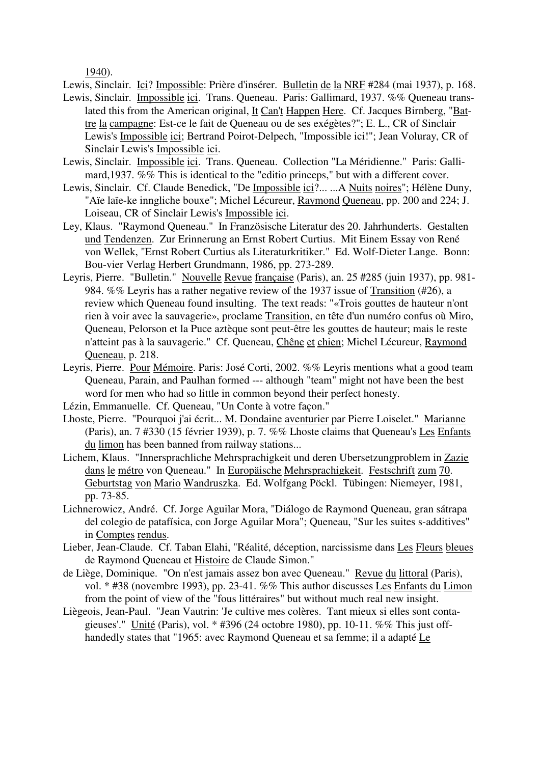1940).

Lewis, Sinclair. Ici? Impossible: Prière d'insérer. Bulletin de la NRF #284 (mai 1937), p. 168.

- Lewis, Sinclair. Impossible ici. Trans. Queneau. Paris: Gallimard, 1937. %% Queneau translated this from the American original, It Can't Happen Here. Cf. Jacques Birnberg, "Battre la campagne: Est-ce le fait de Queneau ou de ses exégètes?"; E. L., CR of Sinclair Lewis's Impossible ici; Bertrand Poirot-Delpech, "Impossible ici!"; Jean Voluray, CR of Sinclair Lewis's Impossible ici.
- Lewis, Sinclair. Impossible ici. Trans. Queneau. Collection "La Méridienne." Paris: Gallimard,1937. %% This is identical to the "editio princeps," but with a different cover.
- Lewis, Sinclair. Cf. Claude Benedick, "De Impossible ici?... ...A Nuits noires"; Hélène Duny, "Aïe laïe-ke inngliche bouxe"; Michel Lécureur, Raymond Queneau, pp. 200 and 224; J. Loiseau, CR of Sinclair Lewis's Impossible ici.
- Ley, Klaus. "Raymond Queneau." In Französische Literatur des 20. Jahrhunderts. Gestalten und Tendenzen. Zur Erinnerung an Ernst Robert Curtius. Mit Einem Essay von René von Wellek, "Ernst Robert Curtius als Literaturkritiker." Ed. Wolf-Dieter Lange. Bonn: Bou-vier Verlag Herbert Grundmann, 1986, pp. 273-289.
- Leyris, Pierre. "Bulletin." Nouvelle Revue française (Paris), an. 25 #285 (juin 1937), pp. 981- 984. %% Leyris has a rather negative review of the 1937 issue of Transition (#26), a review which Queneau found insulting. The text reads: "«Trois gouttes de hauteur n'ont rien à voir avec la sauvagerie», proclame Transition, en tête d'un numéro confus où Miro, Queneau, Pelorson et la Puce aztèque sont peut-être les gouttes de hauteur; mais le reste n'atteint pas à la sauvagerie." Cf. Queneau, Chêne et chien; Michel Lécureur, Raymond Queneau, p. 218.
- Leyris, Pierre. Pour Mémoire. Paris: José Corti, 2002. %% Leyris mentions what a good team Queneau, Parain, and Paulhan formed --- although "team" might not have been the best word for men who had so little in common beyond their perfect honesty.
- Lézin, Emmanuelle. Cf. Queneau, "Un Conte à votre façon."
- Lhoste, Pierre. "Pourquoi j'ai écrit... M. Dondaine aventurier par Pierre Loiselet." Marianne (Paris), an. 7 #330 (15 février 1939), p. 7. %% Lhoste claims that Queneau's Les Enfants du limon has been banned from railway stations...
- Lichem, Klaus. "Innersprachliche Mehrsprachigkeit und deren Ubersetzungproblem in Zazie dans le métro von Queneau." In Europäische Mehrsprachigkeit. Festschrift zum 70. Geburtstag von Mario Wandruszka. Ed. Wolfgang Pöckl. Tübingen: Niemeyer, 1981, pp. 73-85.
- Lichnerowicz, André. Cf. Jorge Aguilar Mora, "Diálogo de Raymond Queneau, gran sátrapa del colegio de patafísica, con Jorge Aguilar Mora"; Queneau, "Sur les suites s-additives" in Comptes rendus.
- Lieber, Jean-Claude. Cf. Taban Elahi, "Réalité, déception, narcissisme dans Les Fleurs bleues de Raymond Queneau et Histoire de Claude Simon."
- de Liège, Dominique. "On n'est jamais assez bon avec Queneau." Revue du littoral (Paris), vol. \* #38 (novembre 1993), pp. 23-41. %% This author discusses Les Enfants du Limon from the point of view of the "fous littéraires" but without much real new insight.
- Liègeois, Jean-Paul. "Jean Vautrin: 'Je cultive mes colères. Tant mieux si elles sont contagieuses'." Unité (Paris), vol. \* #396 (24 octobre 1980), pp. 10-11. %% This just offhandedly states that "1965: avec Raymond Queneau et sa femme; il a adapté Le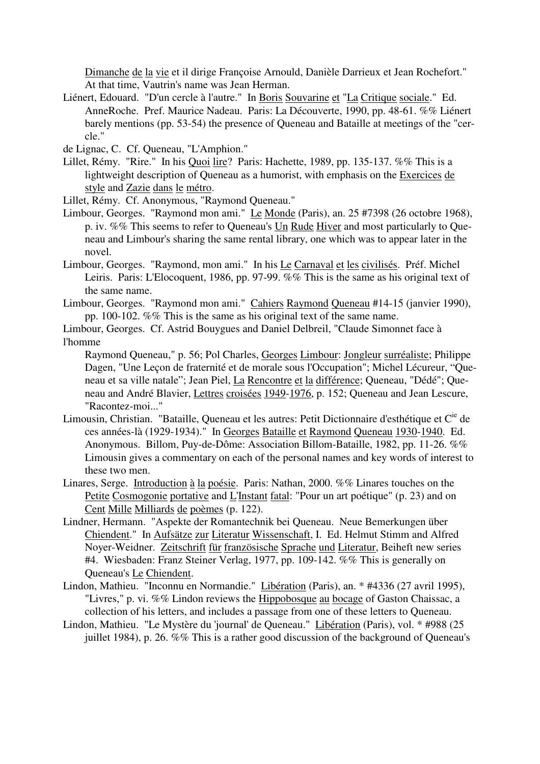Dimanche de la vie et il dirige Françoise Arnould, Danièle Darrieux et Jean Rochefort." At that time, Vautrin's name was Jean Herman.

Liénert, Edouard. "D'un cercle à l'autre." In Boris Souvarine et "La Critique sociale." Ed. AnneRoche. Pref. Maurice Nadeau. Paris: La Découverte, 1990, pp. 48-61. %% Liénert barely mentions (pp. 53-54) the presence of Queneau and Bataille at meetings of the "cercle."

de Lignac, C. Cf. Queneau, "L'Amphion."

- Lillet, Rémy. "Rire." In his Quoi lire? Paris: Hachette, 1989, pp. 135-137. %% This is a lightweight description of Queneau as a humorist, with emphasis on the Exercices de style and Zazie dans le métro.
- Lillet, Rémy. Cf. Anonymous, "Raymond Queneau."
- Limbour, Georges. "Raymond mon ami." Le Monde (Paris), an. 25 #7398 (26 octobre 1968), p. iv. %% This seems to refer to Queneau's Un Rude Hiver and most particularly to Queneau and Limbour's sharing the same rental library, one which was to appear later in the novel.
- Limbour, Georges. "Raymond, mon ami." In his Le Carnaval et les civilisés. Préf. Michel Leiris. Paris: L'Elocoquent, 1986, pp. 97-99. %% This is the same as his original text of the same name.
- Limbour, Georges. "Raymond mon ami." Cahiers Raymond Queneau #14-15 (janvier 1990), pp. 100-102. %% This is the same as his original text of the same name.
- Limbour, Georges. Cf. Astrid Bouygues and Daniel Delbreil, "Claude Simonnet face à l'homme
	- Raymond Queneau," p. 56; Pol Charles, Georges Limbour: Jongleur surréaliste; Philippe Dagen, "Une Leçon de fraternité et de morale sous l'Occupation"; Michel Lécureur, "Queneau et sa ville natale"; Jean Piel, La Rencontre et la différence; Queneau, "Dédé"; Queneau and André Blavier, Lettres croisées 1949-1976, p. 152; Queneau and Jean Lescure, "Racontez-moi..."
- Limousin, Christian. "Bataille, Queneau et les autres: Petit Dictionnaire d'esthétique et C<sup>ie</sup> de ces années-là (1929-1934)." In Georges Bataille et Raymond Queneau 1930-1940. Ed. Anonymous. Billom, Puy-de-Dôme: Association Billom-Bataille, 1982, pp. 11-26. %% Limousin gives a commentary on each of the personal names and key words of interest to these two men.
- Linares, Serge. Introduction à la poésie. Paris: Nathan, 2000. %% Linares touches on the Petite Cosmogonie portative and L'Instant fatal: "Pour un art poétique" (p. 23) and on Cent Mille Milliards de poèmes (p. 122).
- Lindner, Hermann. "Aspekte der Romantechnik bei Queneau. Neue Bemerkungen über Chiendent." In Aufsätze zur Literatur Wissenschaft, I. Ed. Helmut Stimm and Alfred Noyer-Weidner. Zeitschrift für französische Sprache und Literatur, Beiheft new series #4. Wiesbaden: Franz Steiner Verlag, 1977, pp. 109-142.  $\sqrt{6\%}$  This is generally on Queneau's Le Chiendent.
- Lindon, Mathieu. "Inconnu en Normandie." Libération (Paris), an. \* #4336 (27 avril 1995), "Livres," p. vi. %% Lindon reviews the Hippobosque au bocage of Gaston Chaissac, a collection of his letters, and includes a passage from one of these letters to Queneau.
- Lindon, Mathieu. "Le Mystère du 'journal' de Queneau." Libération (Paris), vol. \* #988 (25 juillet 1984), p. 26. %% This is a rather good discussion of the background of Queneau's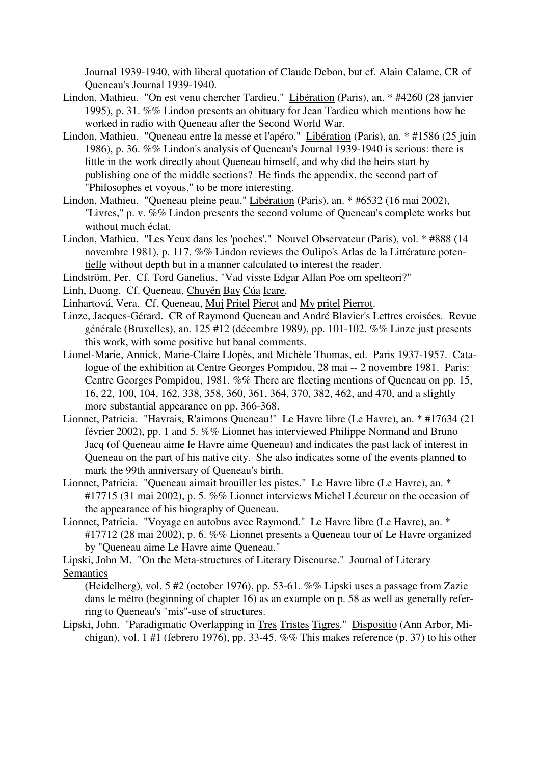Journal 1939-1940, with liberal quotation of Claude Debon, but cf. Alain Calame, CR of Queneau's Journal 1939-1940.

- Lindon, Mathieu. "On est venu chercher Tardieu." Libération (Paris), an. \* #4260 (28 janvier 1995), p. 31. %% Lindon presents an obituary for Jean Tardieu which mentions how he worked in radio with Queneau after the Second World War.
- Lindon, Mathieu. "Queneau entre la messe et l'apéro." Libération (Paris), an. \* #1586 (25 juin 1986), p. 36. %% Lindon's analysis of Queneau's Journal 1939-1940 is serious: there is little in the work directly about Queneau himself, and why did the heirs start by publishing one of the middle sections? He finds the appendix, the second part of "Philosophes et voyous," to be more interesting.
- Lindon, Mathieu. "Queneau pleine peau." Libération (Paris), an. \* #6532 (16 mai 2002), "Livres," p. v. %% Lindon presents the second volume of Queneau's complete works but without much éclat.
- Lindon, Mathieu. "Les Yeux dans les 'poches'." Nouvel Observateur (Paris), vol. \* #888 (14 novembre 1981), p. 117. %% Lindon reviews the Oulipo's Atlas de la Littérature potentielle without depth but in a manner calculated to interest the reader.
- Lindström, Per. Cf. Tord Ganelius, "Vad visste Edgar Allan Poe om spelteori?"
- Linh, Duong. Cf. Queneau, Chuyén Bay Cúa Icare.
- Linhartová, Vera. Cf. Queneau, Muj Pritel Pierot and My pritel Pierrot.
- Linze, Jacques-Gérard. CR of Raymond Queneau and André Blavier's Lettres croisées. Revue générale (Bruxelles), an. 125 #12 (décembre 1989), pp. 101-102. %% Linze just presents this work, with some positive but banal comments.
- Lionel-Marie, Annick, Marie-Claire Llopès, and Michèle Thomas, ed. Paris 1937-1957. Catalogue of the exhibition at Centre Georges Pompidou, 28 mai -- 2 novembre 1981. Paris: Centre Georges Pompidou, 1981. %% There are fleeting mentions of Queneau on pp. 15, 16, 22, 100, 104, 162, 338, 358, 360, 361, 364, 370, 382, 462, and 470, and a slightly more substantial appearance on pp. 366-368.
- Lionnet, Patricia. "Havrais, R'aimons Queneau!" Le Havre libre (Le Havre), an. \* #17634 (21 février 2002), pp. 1 and 5. %% Lionnet has interviewed Philippe Normand and Bruno Jacq (of Queneau aime le Havre aime Queneau) and indicates the past lack of interest in Queneau on the part of his native city. She also indicates some of the events planned to mark the 99th anniversary of Queneau's birth.
- Lionnet, Patricia. "Queneau aimait brouiller les pistes." Le Havre libre (Le Havre), an. \* #17715 (31 mai 2002), p. 5. %% Lionnet interviews Michel Lécureur on the occasion of the appearance of his biography of Queneau.
- Lionnet, Patricia. "Voyage en autobus avec Raymond." Le Havre libre (Le Havre), an. \* #17712 (28 mai 2002), p. 6. %% Lionnet presents a Queneau tour of Le Havre organized by "Queneau aime Le Havre aime Queneau."

Lipski, John M. "On the Meta-structures of Literary Discourse." Journal of Literary **Semantics** 

(Heidelberg), vol. 5 #2 (october 1976), pp. 53-61. %% Lipski uses a passage from Zazie dans le métro (beginning of chapter 16) as an example on p. 58 as well as generally referring to Queneau's "mis"-use of structures.

Lipski, John. "Paradigmatic Overlapping in Tres Tristes Tigres." Dispositio (Ann Arbor, Michigan), vol. 1 #1 (febrero 1976), pp. 33-45. %% This makes reference (p. 37) to his other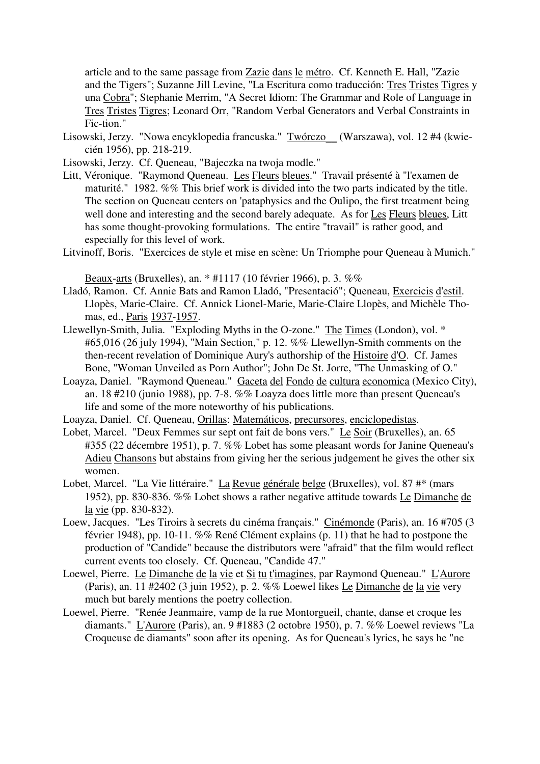article and to the same passage from Zazie dans le métro. Cf. Kenneth E. Hall, "Zazie and the Tigers"; Suzanne Jill Levine, "La Escritura como traducción: Tres Tristes Tigres y una Cobra"; Stephanie Merrim, "A Secret Idiom: The Grammar and Role of Language in Tres Tristes Tigres; Leonard Orr, "Random Verbal Generators and Verbal Constraints in Fic-tion."

- Lisowski, Jerzy. "Nowa encyklopedia francuska." Twórczo\_\_ (Warszawa), vol. 12 #4 (kwiecién 1956), pp. 218-219.
- Lisowski, Jerzy. Cf. Queneau, "Bajeczka na twoja modle."
- Litt, Véronique. "Raymond Queneau. Les Fleurs bleues." Travail présenté à "l'examen de maturité." 1982. %% This brief work is divided into the two parts indicated by the title. The section on Queneau centers on 'pataphysics and the Oulipo, the first treatment being well done and interesting and the second barely adequate. As for Les Fleurs bleues, Litt has some thought-provoking formulations. The entire "travail" is rather good, and especially for this level of work.
- Litvinoff, Boris. "Exercices de style et mise en scène: Un Triomphe pour Queneau à Munich."

Beaux-arts (Bruxelles), an. \* #1117 (10 février 1966), p. 3. %%

- Lladó, Ramon. Cf. Annie Bats and Ramon Lladó, "Presentació"; Queneau, Exercicis d'estil. Llopès, Marie-Claire. Cf. Annick Lionel-Marie, Marie-Claire Llopès, and Michèle Thomas, ed., Paris 1937-1957.
- Llewellyn-Smith, Julia. "Exploding Myths in the O-zone." The Times (London), vol. \* #65,016 (26 july 1994), "Main Section," p. 12. %% Llewellyn-Smith comments on the then-recent revelation of Dominique Aury's authorship of the Histoire d'O. Cf. James Bone, "Woman Unveiled as Porn Author"; John De St. Jorre, "The Unmasking of O."
- Loayza, Daniel. "Raymond Queneau." Gaceta del Fondo de cultura economica (Mexico City), an. 18 #210 (junio 1988), pp. 7-8. %% Loayza does little more than present Queneau's life and some of the more noteworthy of his publications.
- Loayza, Daniel. Cf. Queneau, Orillas: Matemáticos, precursores, enciclopedistas.
- Lobet, Marcel. "Deux Femmes sur sept ont fait de bons vers." Le Soir (Bruxelles), an. 65 #355 (22 décembre 1951), p. 7. %% Lobet has some pleasant words for Janine Queneau's Adieu Chansons but abstains from giving her the serious judgement he gives the other six women.
- Lobet, Marcel. "La Vie littéraire." La Revue générale belge (Bruxelles), vol. 87 #\* (mars 1952), pp. 830-836. %% Lobet shows a rather negative attitude towards Le Dimanche de la vie (pp. 830-832).
- Loew, Jacques. "Les Tiroirs à secrets du cinéma français." Cinémonde (Paris), an. 16 #705 (3 février 1948), pp. 10-11. %% René Clément explains (p. 11) that he had to postpone the production of "Candide" because the distributors were "afraid" that the film would reflect current events too closely. Cf. Queneau, "Candide 47."
- Loewel, Pierre. Le Dimanche de la vie et Si tu t'imagines, par Raymond Queneau." L'Aurore (Paris), an. 11 #2402 (3 juin 1952), p. 2. %% Loewel likes Le Dimanche de la vie very much but barely mentions the poetry collection.
- Loewel, Pierre. "Renée Jeanmaire, vamp de la rue Montorgueil, chante, danse et croque les diamants." L'Aurore (Paris), an. 9 #1883 (2 octobre 1950), p. 7. %% Loewel reviews "La Croqueuse de diamants" soon after its opening. As for Queneau's lyrics, he says he "ne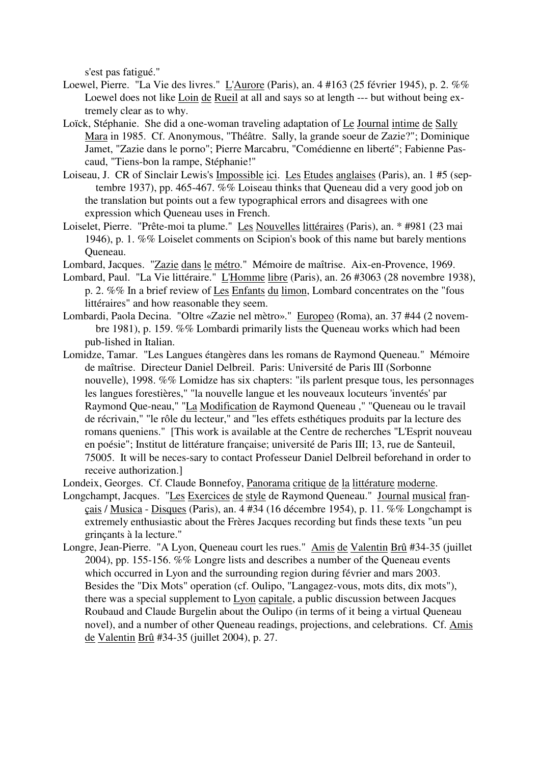s'est pas fatigué."

- Loewel, Pierre. "La Vie des livres." L'Aurore (Paris), an. 4 #163 (25 février 1945), p. 2. %% Loewel does not like Loin de Rueil at all and says so at length --- but without being extremely clear as to why.
- Loïck, Stéphanie. She did a one-woman traveling adaptation of Le Journal intime de Sally Mara in 1985. Cf. Anonymous, "Théâtre. Sally, la grande soeur de Zazie?"; Dominique Jamet, "Zazie dans le porno"; Pierre Marcabru, "Comédienne en liberté"; Fabienne Pascaud, "Tiens-bon la rampe, Stéphanie!"
- Loiseau, J. CR of Sinclair Lewis's Impossible ici. Les Etudes anglaises (Paris), an. 1 #5 (sep tembre 1937), pp. 465-467. %% Loiseau thinks that Queneau did a very good job on the translation but points out a few typographical errors and disagrees with one expression which Queneau uses in French.
- Loiselet, Pierre. "Prête-moi ta plume." Les Nouvelles littéraires (Paris), an. \* #981 (23 mai 1946), p. 1. %% Loiselet comments on Scipion's book of this name but barely mentions Queneau.
- Lombard, Jacques. "Zazie dans le métro." Mémoire de maîtrise. Aix-en-Provence, 1969.
- Lombard, Paul. "La Vie littéraire." L'Homme libre (Paris), an. 26 #3063 (28 novembre 1938), p. 2. %% In a brief review of Les Enfants du limon, Lombard concentrates on the "fous littéraires" and how reasonable they seem.
- Lombardi, Paola Decina. "Oltre «Zazie nel mètro»." Europeo (Roma), an. 37 #44 (2 novem bre 1981), p. 159. %% Lombardi primarily lists the Queneau works which had been pub-lished in Italian.
- Lomidze, Tamar. "Les Langues étangères dans les romans de Raymond Queneau." Mémoire de maîtrise. Directeur Daniel Delbreil. Paris: Université de Paris III (Sorbonne nouvelle), 1998. %% Lomidze has six chapters: "ils parlent presque tous, les personnages les langues forestières," "la nouvelle langue et les nouveaux locuteurs 'inventés' par Raymond Que-neau," "La Modification de Raymond Queneau ," "Queneau ou le travail de récrivain," "le rôle du lecteur," and "les effets esthétiques produits par la lecture des romans queniens." [This work is available at the Centre de recherches "L'Esprit nouveau en poésie"; Institut de littérature française; université de Paris III; 13, rue de Santeuil, 75005. It will be neces-sary to contact Professeur Daniel Delbreil beforehand in order to receive authorization.]
- Londeix, Georges. Cf. Claude Bonnefoy, Panorama critique de la littérature moderne.
- Longchampt, Jacques. "Les Exercices de style de Raymond Queneau." Journal musical français / Musica - Disques (Paris), an. 4 #34 (16 décembre 1954), p. 11. %% Longchampt is extremely enthusiastic about the Frères Jacques recording but finds these texts "un peu grinçants à la lecture."
- Longre, Jean-Pierre. "A Lyon, Queneau court les rues." Amis de Valentin Brû #34-35 (juillet 2004), pp. 155-156. %% Longre lists and describes a number of the Queneau events which occurred in Lyon and the surrounding region during février and mars 2003. Besides the "Dix Mots" operation (cf. Oulipo, "Langagez-vous, mots dits, dix mots"), there was a special supplement to Lyon capitale, a public discussion between Jacques Roubaud and Claude Burgelin about the Oulipo (in terms of it being a virtual Queneau novel), and a number of other Queneau readings, projections, and celebrations. Cf. Amis de Valentin Brû #34-35 (juillet 2004), p. 27.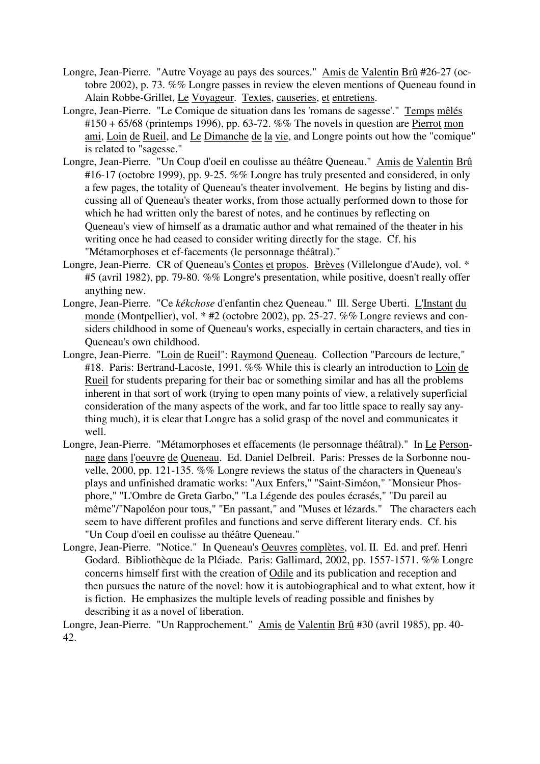- Longre, Jean-Pierre. "Autre Voyage au pays des sources." Amis de Valentin Brû #26-27 (octobre 2002), p. 73. %% Longre passes in review the eleven mentions of Queneau found in Alain Robbe-Grillet, Le Voyageur. Textes, causeries, et entretiens.
- Longre, Jean-Pierre. "Le Comique de situation dans les 'romans de sagesse'." Temps mêlés  $#150 + 65/68$  (printemps 1996), pp. 63-72. %% The novels in question are Pierrot mon ami, Loin de Rueil, and Le Dimanche de la vie, and Longre points out how the "comique" is related to "sagesse."
- Longre, Jean-Pierre. "Un Coup d'oeil en coulisse au théâtre Queneau." Amis de Valentin Brû #16-17 (octobre 1999), pp. 9-25. %% Longre has truly presented and considered, in only a few pages, the totality of Queneau's theater involvement. He begins by listing and discussing all of Queneau's theater works, from those actually performed down to those for which he had written only the barest of notes, and he continues by reflecting on Queneau's view of himself as a dramatic author and what remained of the theater in his writing once he had ceased to consider writing directly for the stage. Cf. his "Métamorphoses et ef-facements (le personnage théâtral)."
- Longre, Jean-Pierre. CR of Queneau's Contes et propos. Brèves (Villelongue d'Aude), vol. \* #5 (avril 1982), pp. 79-80. %% Longre's presentation, while positive, doesn't really offer anything new.
- Longre, Jean-Pierre. "Ce *kékchose* d'enfantin chez Queneau." Ill. Serge Uberti. L'Instant du monde (Montpellier), vol. \* #2 (octobre 2002), pp. 25-27. %% Longre reviews and considers childhood in some of Queneau's works, especially in certain characters, and ties in Queneau's own childhood.
- Longre, Jean-Pierre. "Loin de Rueil": Raymond Queneau. Collection "Parcours de lecture," #18. Paris: Bertrand-Lacoste, 1991. %% While this is clearly an introduction to Loin de Rueil for students preparing for their bac or something similar and has all the problems inherent in that sort of work (trying to open many points of view, a relatively superficial consideration of the many aspects of the work, and far too little space to really say anything much), it is clear that Longre has a solid grasp of the novel and communicates it well.
- Longre, Jean-Pierre. "Métamorphoses et effacements (le personnage théâtral)." In Le Personnage dans l'oeuvre de Queneau. Ed. Daniel Delbreil. Paris: Presses de la Sorbonne nouvelle, 2000, pp. 121-135. %% Longre reviews the status of the characters in Queneau's plays and unfinished dramatic works: "Aux Enfers," "Saint-Siméon," "Monsieur Phosphore," "L'Ombre de Greta Garbo," "La Légende des poules écrasés," "Du pareil au même"/"Napoléon pour tous," "En passant," and "Muses et lézards." The characters each seem to have different profiles and functions and serve different literary ends. Cf. his "Un Coup d'oeil en coulisse au théâtre Queneau."
- Longre, Jean-Pierre. "Notice." In Queneau's Oeuvres complètes, vol. II. Ed. and pref. Henri Godard. Bibliothèque de la Pléiade. Paris: Gallimard, 2002, pp. 1557-1571. %% Longre concerns himself first with the creation of Odile and its publication and reception and then pursues the nature of the novel: how it is autobiographical and to what extent, how it is fiction. He emphasizes the multiple levels of reading possible and finishes by describing it as a novel of liberation.

Longre, Jean-Pierre. "Un Rapprochement." Amis de Valentin Brû #30 (avril 1985), pp. 40- 42.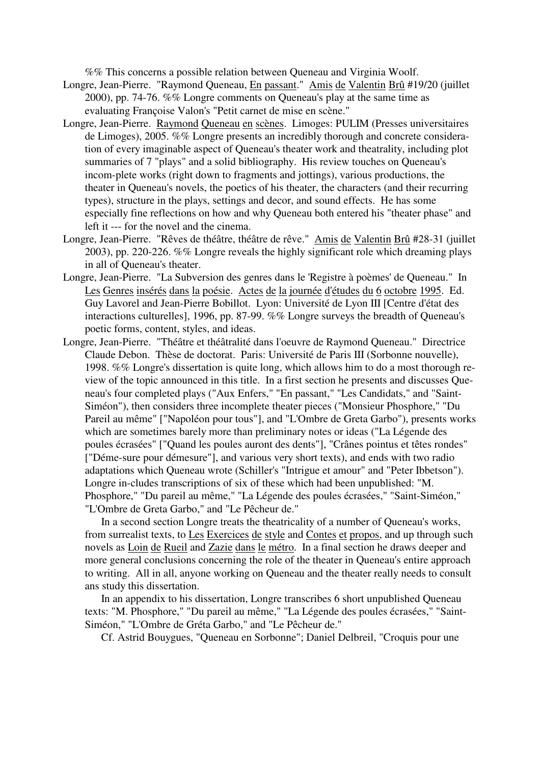%% This concerns a possible relation between Queneau and Virginia Woolf.

- Longre, Jean-Pierre. "Raymond Queneau, En passant." Amis de Valentin Brû #19/20 (juillet 2000), pp. 74-76. %% Longre comments on Queneau's play at the same time as evaluating Françoise Valon's "Petit carnet de mise en scène."
- Longre, Jean-Pierre. Raymond Queneau en scènes. Limoges: PULIM (Presses universitaires de Limoges), 2005. %% Longre presents an incredibly thorough and concrete consideration of every imaginable aspect of Queneau's theater work and theatrality, including plot summaries of 7 "plays" and a solid bibliography. His review touches on Queneau's incom-plete works (right down to fragments and jottings), various productions, the theater in Queneau's novels, the poetics of his theater, the characters (and their recurring types), structure in the plays, settings and decor, and sound effects. He has some especially fine reflections on how and why Queneau both entered his "theater phase" and left it --- for the novel and the cinema.
- Longre, Jean-Pierre. "Rêves de théâtre, théâtre de rêve." Amis de Valentin Brû #28-31 (juillet 2003), pp. 220-226. %% Longre reveals the highly significant role which dreaming plays in all of Queneau's theater.
- Longre, Jean-Pierre. "La Subversion des genres dans le 'Registre à poèmes' de Queneau." In Les Genres insérés dans la poésie. Actes de la journée d'études du 6 octobre 1995. Ed. Guy Lavorel and Jean-Pierre Bobillot. Lyon: Université de Lyon III [Centre d'état des interactions culturelles], 1996, pp. 87-99. %% Longre surveys the breadth of Queneau's poetic forms, content, styles, and ideas.
- Longre, Jean-Pierre. "Théâtre et théâtralité dans l'oeuvre de Raymond Queneau." Directrice Claude Debon. Thèse de doctorat. Paris: Université de Paris III (Sorbonne nouvelle), 1998. %% Longre's dissertation is quite long, which allows him to do a most thorough review of the topic announced in this title. In a first section he presents and discusses Queneau's four completed plays ("Aux Enfers," "En passant," "Les Candidats," and "Saint-Siméon"), then considers three incomplete theater pieces ("Monsieur Phosphore," "Du Pareil au même" ["Napoléon pour tous"], and "L'Ombre de Greta Garbo"), presents works which are sometimes barely more than preliminary notes or ideas ("La Légende des poules écrasées" ["Quand les poules auront des dents"], "Crânes pointus et têtes rondes" ["Déme-sure pour démesure"], and various very short texts), and ends with two radio adaptations which Queneau wrote (Schiller's "Intrigue et amour" and "Peter Ibbetson"). Longre in-cludes transcriptions of six of these which had been unpublished: "M. Phosphore," "Du pareil au même," "La Légende des poules écrasées," "Saint-Siméon," "L'Ombre de Greta Garbo," and "Le Pêcheur de."

 In a second section Longre treats the theatricality of a number of Queneau's works, from surrealist texts, to Les Exercices de style and Contes et propos, and up through such novels as Loin de Rueil and Zazie dans le métro. In a final section he draws deeper and more general conclusions concerning the role of the theater in Queneau's entire approach to writing. All in all, anyone working on Queneau and the theater really needs to consult ans study this dissertation.

 In an appendix to his dissertation, Longre transcribes 6 short unpublished Queneau texts: "M. Phosphore," "Du pareil au même," "La Légende des poules écrasées," "Saint-Siméon," "L'Ombre de Gréta Garbo," and "Le Pêcheur de."

Cf. Astrid Bouygues, "Queneau en Sorbonne"; Daniel Delbreil, "Croquis pour une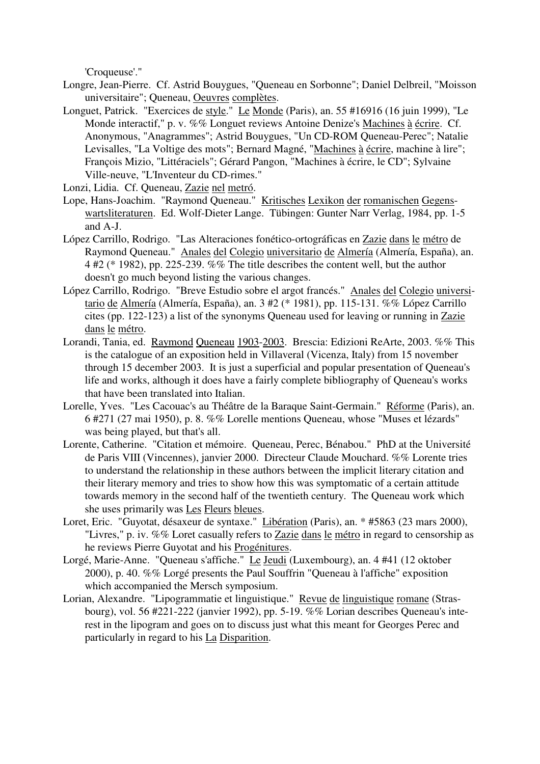'Croqueuse'."

- Longre, Jean-Pierre. Cf. Astrid Bouygues, "Queneau en Sorbonne"; Daniel Delbreil, "Moisson universitaire"; Queneau, Oeuvres complètes.
- Longuet, Patrick. "Exercices de style." Le Monde (Paris), an. 55 #16916 (16 juin 1999), "Le Monde interactif," p. v. %% Longuet reviews Antoine Denize's Machines à écrire. Cf. Anonymous, "Anagrammes"; Astrid Bouygues, "Un CD-ROM Queneau-Perec"; Natalie Levisalles, "La Voltige des mots"; Bernard Magné, "Machines à écrire, machine à lire"; François Mizio, "Littéraciels"; Gérard Pangon, "Machines à écrire, le CD"; Sylvaine Ville-neuve, "L'Inventeur du CD-rimes."
- Lonzi, Lidia. Cf. Queneau, Zazie nel metró.
- Lope, Hans-Joachim. "Raymond Queneau." Kritisches Lexikon der romanischen Gegenswartsliteraturen. Ed. Wolf-Dieter Lange. Tübingen: Gunter Narr Verlag, 1984, pp. 1-5 and A-J.
- López Carrillo, Rodrigo. "Las Alteraciones fonético-ortográficas en Zazie dans le métro de Raymond Queneau." Anales del Colegio universitario de Almería (Almería, España), an. 4 #2 (\* 1982), pp. 225-239. %% The title describes the content well, but the author doesn't go much beyond listing the various changes.
- López Carrillo, Rodrigo. "Breve Estudio sobre el argot francés." Anales del Colegio universitario de Almería (Almería, España), an. 3 #2 (\* 1981), pp. 115-131. %% López Carrillo cites (pp. 122-123) a list of the synonyms Queneau used for leaving or running in Zazie dans le métro.
- Lorandi, Tania, ed. Raymond Queneau 1903-2003. Brescia: Edizioni ReArte, 2003. %% This is the catalogue of an exposition held in Villaveral (Vicenza, Italy) from 15 november through 15 december 2003. It is just a superficial and popular presentation of Queneau's life and works, although it does have a fairly complete bibliography of Queneau's works that have been translated into Italian.
- Lorelle, Yves. "Les Cacouac's au Théâtre de la Baraque Saint-Germain." Réforme (Paris), an. 6 #271 (27 mai 1950), p. 8. %% Lorelle mentions Queneau, whose "Muses et lézards" was being played, but that's all.
- Lorente, Catherine. "Citation et mémoire. Queneau, Perec, Bénabou." PhD at the Université de Paris VIII (Vincennes), janvier 2000. Directeur Claude Mouchard. %% Lorente tries to understand the relationship in these authors between the implicit literary citation and their literary memory and tries to show how this was symptomatic of a certain attitude towards memory in the second half of the twentieth century. The Queneau work which she uses primarily was Les Fleurs bleues.
- Loret, Eric. "Guyotat, désaxeur de syntaxe." Libération (Paris), an. \* #5863 (23 mars 2000), "Livres," p. iv. %% Loret casually refers to Zazie dans le métro in regard to censorship as he reviews Pierre Guyotat and his Progénitures.
- Lorgé, Marie-Anne. "Queneau s'affiche." Le Jeudi (Luxembourg), an. 4 #41 (12 oktober 2000), p. 40. %% Lorgé presents the Paul Souffrin "Queneau à l'affiche" exposition which accompanied the Mersch symposium.
- Lorian, Alexandre. "Lipogrammatie et linguistique." Revue de linguistique romane (Strasbourg), vol. 56 #221-222 (janvier 1992), pp. 5-19. %% Lorian describes Queneau's interest in the lipogram and goes on to discuss just what this meant for Georges Perec and particularly in regard to his La Disparition.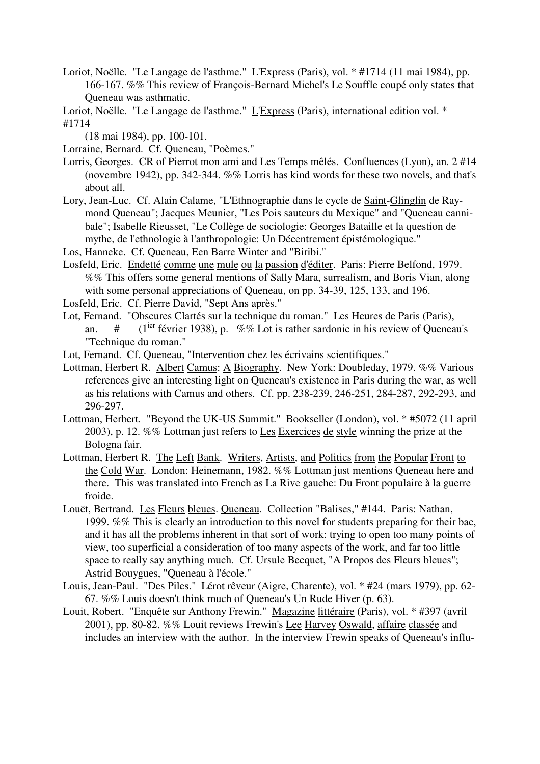- Loriot, Noëlle. "Le Langage de l'asthme." L'Express (Paris), vol. \* #1714 (11 mai 1984), pp. 166-167. %% This review of François-Bernard Michel's Le Souffle coupé only states that Queneau was asthmatic.
- Loriot, Noëlle. "Le Langage de l'asthme." L'Express (Paris), international edition vol. \* #1714
	- (18 mai 1984), pp. 100-101.
- Lorraine, Bernard. Cf. Queneau, "Poèmes."
- Lorris, Georges. CR of Pierrot mon ami and Les Temps mêlés. Confluences (Lyon), an. 2 #14 (novembre 1942), pp. 342-344. %% Lorris has kind words for these two novels, and that's about all.
- Lory, Jean-Luc. Cf. Alain Calame, "L'Ethnographie dans le cycle de Saint-Glinglin de Raymond Queneau"; Jacques Meunier, "Les Pois sauteurs du Mexique" and "Queneau cannibale"; Isabelle Rieusset, "Le Collège de sociologie: Georges Bataille et la question de mythe, de l'ethnologie à l'anthropologie: Un Décentrement épistémologique."
- Los, Hanneke. Cf. Queneau, Een Barre Winter and "Biribi."
- Losfeld, Eric. Endetté comme une mule ou la passion d'éditer. Paris: Pierre Belfond, 1979. %% This offers some general mentions of Sally Mara, surrealism, and Boris Vian, along with some personal appreciations of Queneau, on pp. 34-39, 125, 133, and 196.
- Losfeld, Eric. Cf. Pierre David, "Sept Ans après."
- Lot, Fernand. "Obscures Clartés sur la technique du roman." Les Heures de Paris (Paris), an.  $\#$  (1<sup>ier</sup> février 1938), p. %% Lot is rather sardonic in his review of Queneau's "Technique du roman."
- Lot, Fernand. Cf. Queneau, "Intervention chez les écrivains scientifiques."
- Lottman, Herbert R. Albert Camus: A Biography. New York: Doubleday, 1979. %% Various references give an interesting light on Queneau's existence in Paris during the war, as well as his relations with Camus and others. Cf. pp. 238-239, 246-251, 284-287, 292-293, and 296-297.
- Lottman, Herbert. "Beyond the UK-US Summit." Bookseller (London), vol. \* #5072 (11 april 2003), p. 12. %% Lottman just refers to Les Exercices de style winning the prize at the Bologna fair.
- Lottman, Herbert R. The Left Bank. Writers, Artists, and Politics from the Popular Front to the Cold War. London: Heinemann, 1982. %% Lottman just mentions Queneau here and there. This was translated into French as La Rive gauche: Du Front populaire à la guerre froide.
- Louët, Bertrand. Les Fleurs bleues. Queneau. Collection "Balises," #144. Paris: Nathan, 1999. %% This is clearly an introduction to this novel for students preparing for their bac, and it has all the problems inherent in that sort of work: trying to open too many points of view, too superficial a consideration of too many aspects of the work, and far too little space to really say anything much. Cf. Ursule Becquet, "A Propos des Fleurs bleues"; Astrid Bouygues, "Queneau à l'école."
- Louis, Jean-Paul. "Des Piles." Lérot rêveur (Aigre, Charente), vol. \* #24 (mars 1979), pp. 62-67. %% Louis doesn't think much of Queneau's Un Rude Hiver (p. 63).
- Louit, Robert. "Enquête sur Anthony Frewin." Magazine littéraire (Paris), vol. \* #397 (avril 2001), pp. 80-82. %% Louit reviews Frewin's Lee Harvey Oswald, affaire classée and includes an interview with the author. In the interview Frewin speaks of Queneau's influ-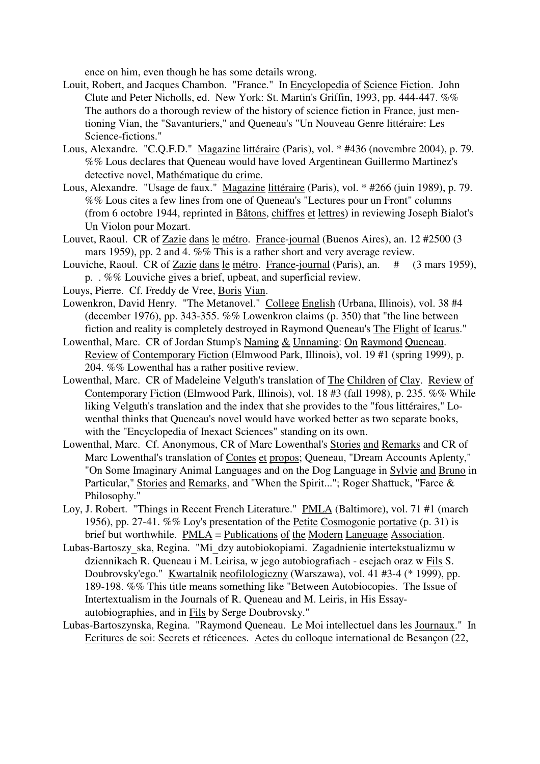ence on him, even though he has some details wrong.

- Louit, Robert, and Jacques Chambon. "France." In Encyclopedia of Science Fiction. John Clute and Peter Nicholls, ed. New York: St. Martin's Griffin, 1993, pp. 444-447. %% The authors do a thorough review of the history of science fiction in France, just mentioning Vian, the "Savanturiers," and Queneau's "Un Nouveau Genre littéraire: Les Science-fictions."
- Lous, Alexandre. "C.Q.F.D." Magazine littéraire (Paris), vol. \* #436 (novembre 2004), p. 79. %% Lous declares that Queneau would have loved Argentinean Guillermo Martinez's detective novel, Mathématique du crime.
- Lous, Alexandre. "Usage de faux." Magazine littéraire (Paris), vol. \* #266 (juin 1989), p. 79. %% Lous cites a few lines from one of Queneau's "Lectures pour un Front" columns (from 6 octobre 1944, reprinted in Bâtons, chiffres et lettres) in reviewing Joseph Bialot's Un Violon pour Mozart.
- Louvet, Raoul. CR of Zazie dans le métro. France-journal (Buenos Aires), an. 12 #2500 (3 mars 1959), pp. 2 and 4. %% This is a rather short and very average review.
- Louviche, Raoul. CR of Zazie dans le métro. France-journal (Paris), an. # (3 mars 1959), p. . %% Louviche gives a brief, upbeat, and superficial review.
- Louys, Pierre. Cf. Freddy de Vree, Boris Vian.
- Lowenkron, David Henry. "The Metanovel." College English (Urbana, Illinois), vol. 38 #4 (december 1976), pp. 343-355. %% Lowenkron claims (p. 350) that "the line between fiction and reality is completely destroyed in Raymond Queneau's The Flight of Icarus."
- Lowenthal, Marc. CR of Jordan Stump's Naming & Unnaming: On Raymond Queneau. Review of Contemporary Fiction (Elmwood Park, Illinois), vol. 19 #1 (spring 1999), p. 204. %% Lowenthal has a rather positive review.
- Lowenthal, Marc. CR of Madeleine Velguth's translation of The Children of Clay. Review of Contemporary Fiction (Elmwood Park, Illinois), vol. 18 #3 (fall 1998), p. 235. %% While liking Velguth's translation and the index that she provides to the "fous littéraires," Lowenthal thinks that Queneau's novel would have worked better as two separate books, with the "Encyclopedia of Inexact Sciences" standing on its own.
- Lowenthal, Marc. Cf. Anonymous, CR of Marc Lowenthal's Stories and Remarks and CR of Marc Lowenthal's translation of Contes et propos; Queneau, "Dream Accounts Aplenty," "On Some Imaginary Animal Languages and on the Dog Language in Sylvie and Bruno in Particular," Stories and Remarks, and "When the Spirit..."; Roger Shattuck, "Farce & Philosophy."
- Loy, J. Robert. "Things in Recent French Literature." PMLA (Baltimore), vol. 71 #1 (march 1956), pp. 27-41. %% Loy's presentation of the Petite Cosmogonie portative (p. 31) is brief but worthwhile. PMLA = Publications of the Modern Language Association.
- Lubas-Bartoszy\_ska, Regina. "Mi\_dzy autobiokopiami. Zagadnienie intertekstualizmu w dziennikach R. Queneau i M. Leirisa, w jego autobiografiach - esejach oraz w Fils S. Doubrovsky'ego." Kwartalnik neofilologiczny (Warszawa), vol. 41 #3-4 (\* 1999), pp. 189-198. %% This title means something like "Between Autobiocopies. The Issue of Intertextualism in the Journals of R. Queneau and M. Leiris, in His Essayautobiographies, and in Fils by Serge Doubrovsky."
- Lubas-Bartoszynska, Regina. "Raymond Queneau. Le Moi intellectuel dans les Journaux." In Ecritures de soi: Secrets et réticences. Actes du colloque international de Besançon (22,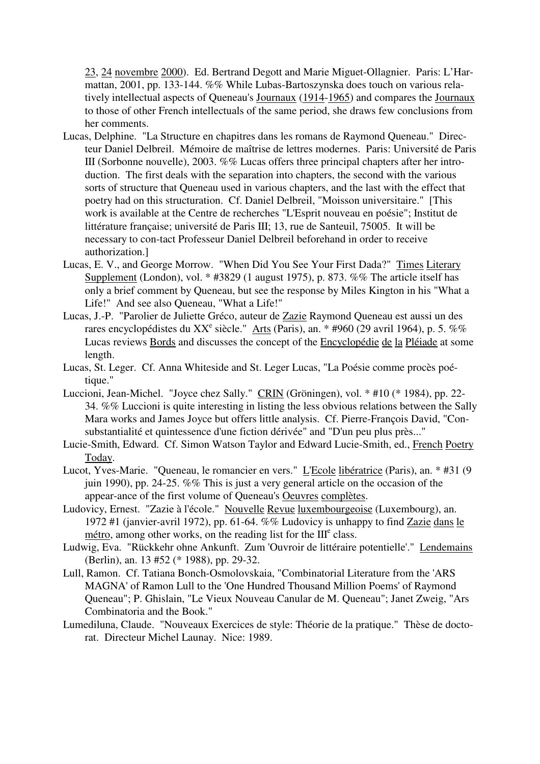23, 24 novembre 2000). Ed. Bertrand Degott and Marie Miguet-Ollagnier. Paris: L'Harmattan, 2001, pp. 133-144. %% While Lubas-Bartoszynska does touch on various relatively intellectual aspects of Queneau's Journaux (1914-1965) and compares the Journaux to those of other French intellectuals of the same period, she draws few conclusions from her comments.

- Lucas, Delphine. "La Structure en chapitres dans les romans de Raymond Queneau." Directeur Daniel Delbreil. Mémoire de maîtrise de lettres modernes. Paris: Université de Paris III (Sorbonne nouvelle), 2003. %% Lucas offers three principal chapters after her introduction. The first deals with the separation into chapters, the second with the various sorts of structure that Queneau used in various chapters, and the last with the effect that poetry had on this structuration. Cf. Daniel Delbreil, "Moisson universitaire." [This work is available at the Centre de recherches "L'Esprit nouveau en poésie"; Institut de littérature française; université de Paris III; 13, rue de Santeuil, 75005. It will be necessary to con-tact Professeur Daniel Delbreil beforehand in order to receive authorization.]
- Lucas, E. V., and George Morrow. "When Did You See Your First Dada?" Times Literary Supplement (London), vol. \* #3829 (1 august 1975), p. 873. %% The article itself has only a brief comment by Queneau, but see the response by Miles Kington in his "What a Life!" And see also Queneau, "What a Life!"
- Lucas, J.-P. "Parolier de Juliette Gréco, auteur de Zazie Raymond Queneau est aussi un des rares encyclopédistes du XX<sup>e</sup> siècle." Arts (Paris), an. \* #960 (29 avril 1964), p. 5. %% Lucas reviews Bords and discusses the concept of the **Encyclopédie** de la Pléiade at some length.
- Lucas, St. Leger. Cf. Anna Whiteside and St. Leger Lucas, "La Poésie comme procès poétique."
- Luccioni, Jean-Michel. "Joyce chez Sally." CRIN (Gröningen), vol. \* #10 (\* 1984), pp. 22- 34. %% Luccioni is quite interesting in listing the less obvious relations between the Sally Mara works and James Joyce but offers little analysis. Cf. Pierre-François David, "Consubstantialité et quintessence d'une fiction dérivée" and "D'un peu plus près..."
- Lucie-Smith, Edward. Cf. Simon Watson Taylor and Edward Lucie-Smith, ed., French Poetry Today.
- Lucot, Yves-Marie. "Queneau, le romancier en vers." L'Ecole libératrice (Paris), an. \* #31 (9 juin 1990), pp. 24-25. %% This is just a very general article on the occasion of the appear-ance of the first volume of Queneau's Oeuvres complètes.
- Ludovicy, Ernest. "Zazie à l'école." Nouvelle Revue luxembourgeoise (Luxembourg), an. 1972 #1 (janvier-avril 1972), pp. 61-64. %% Ludovicy is unhappy to find Zazie dans le  $m$ étro, among other works, on the reading list for the  $III<sup>e</sup>$  class.
- Ludwig, Eva. "Rückkehr ohne Ankunft. Zum 'Ouvroir de littéraire potentielle'." Lendemains (Berlin), an. 13 #52 (\* 1988), pp. 29-32.
- Lull, Ramon. Cf. Tatiana Bonch-Osmolovskaia, "Combinatorial Literature from the 'ARS MAGNA' of Ramon Lull to the 'One Hundred Thousand Million Poems' of Raymond Queneau"; P. Ghislain, "Le Vieux Nouveau Canular de M. Queneau"; Janet Zweig, "Ars Combinatoria and the Book."
- Lumediluna, Claude. "Nouveaux Exercices de style: Théorie de la pratique." Thèse de doctorat. Directeur Michel Launay. Nice: 1989.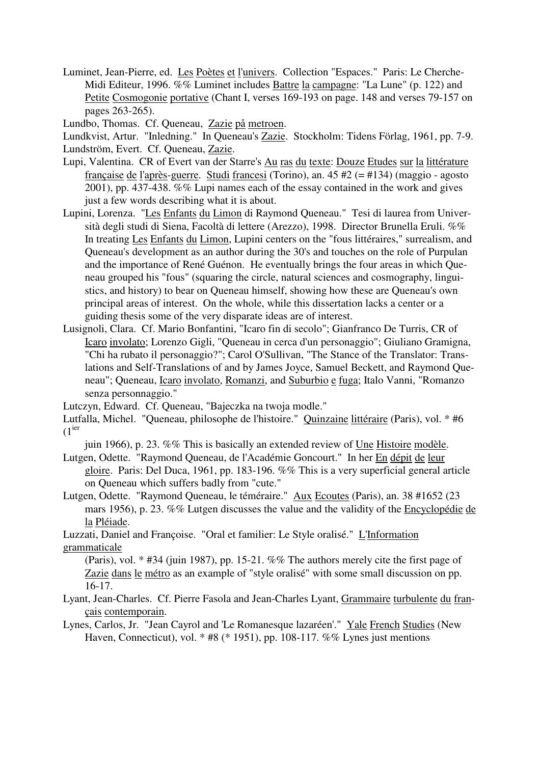Luminet, Jean-Pierre, ed. Les Poètes et l'univers. Collection "Espaces." Paris: Le Cherche-Midi Editeur, 1996. %% Luminet includes Battre la campagne: "La Lune" (p. 122) and Petite Cosmogonie portative (Chant I, verses 169-193 on page. 148 and verses 79-157 on pages 263-265).

Lundbo, Thomas. Cf. Queneau, Zazie på metroen.

Lundkvist, Artur. "Inledning." In Queneau's Zazie. Stockholm: Tidens Förlag, 1961, pp. 7-9. Lundström, Evert. Cf. Queneau, Zazie.

- Lupi, Valentina. CR of Evert van der Starre's Au ras du texte: Douze Etudes sur la littérature française de l'après-guerre. Studi francesi (Torino), an. 45 #2 (= #134) (maggio - agosto 2001), pp. 437-438. %% Lupi names each of the essay contained in the work and gives just a few words describing what it is about.
- Lupini, Lorenza. "Les Enfants du Limon di Raymond Queneau." Tesi di laurea from Università degli studi di Siena, Facoltà di lettere (Arezzo), 1998. Director Brunella Eruli. %% In treating Les Enfants du Limon, Lupini centers on the "fous littéraires," surrealism, and Queneau's development as an author during the 30's and touches on the role of Purpulan and the importance of René Guénon. He eventually brings the four areas in which Queneau grouped his "fous" (squaring the circle, natural sciences and cosmography, linguistics, and history) to bear on Queneau himself, showing how these are Queneau's own principal areas of interest. On the whole, while this dissertation lacks a center or a guiding thesis some of the very disparate ideas are of interest.
- Lusignoli, Clara. Cf. Mario Bonfantini, "Icaro fin di secolo"; Gianfranco De Turris, CR of Icaro involato; Lorenzo Gigli, "Queneau in cerca d'un personaggio"; Giuliano Gramigna, "Chi ha rubato il personaggio?"; Carol O'Sullivan, "The Stance of the Translator: Translations and Self-Translations of and by James Joyce, Samuel Beckett, and Raymond Queneau"; Queneau, Icaro involato, Romanzi, and Suburbio e fuga; Italo Vanni, "Romanzo senza personnaggio."

Lutczyn, Edward. Cf. Queneau, "Bajeczka na twoja modle."

juin 1966), p. 23. %% This is basically an extended review of Une Histoire modèle. Lutgen, Odette. "Raymond Queneau, de l'Académie Goncourt." In her En dépit de leur

gloire. Paris: Del Duca, 1961, pp. 183-196. %% This is a very superficial general article on Queneau which suffers badly from "cute."

Lutgen, Odette. "Raymond Queneau, le téméraire." Aux Ecoutes (Paris), an. 38 #1652 (23 mars 1956), p. 23. %% Lutgen discusses the value and the validity of the Encyclopédie de la Pléiade.

Luzzati, Daniel and Françoise. "Oral et familier: Le Style oralisé." L'Information grammaticale

(Paris), vol. \* #34 (juin 1987), pp. 15-21. %% The authors merely cite the first page of Zazie dans le métro as an example of "style oralisé" with some small discussion on pp. 16-17.

Lyant, Jean-Charles. Cf. Pierre Fasola and Jean-Charles Lyant, Grammaire turbulente du français contemporain.

Lynes, Carlos, Jr. "Jean Cayrol and 'Le Romanesque lazaréen'." Yale French Studies (New Haven, Connecticut), vol. \* #8 (\* 1951), pp. 108-117. %% Lynes just mentions

Lutfalla, Michel. "Queneau, philosophe de l'histoire." Quinzaine littéraire (Paris), vol. \* #6  $(1<sup>ier</sup>)$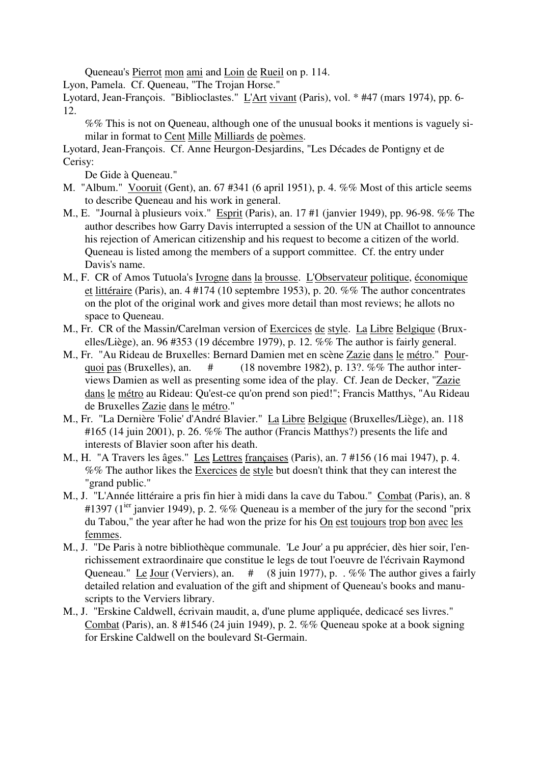Queneau's Pierrot mon ami and Loin de Rueil on p. 114.

Lyon, Pamela. Cf. Queneau, "The Trojan Horse."

Lyotard, Jean-François. "Biblioclastes." L'Art vivant (Paris), vol. \* #47 (mars 1974), pp. 6-12.

%% This is not on Queneau, although one of the unusual books it mentions is vaguely similar in format to Cent Mille Milliards de poèmes.

Lyotard, Jean-François. Cf. Anne Heurgon-Desjardins, "Les Décades de Pontigny et de Cerisy:

De Gide à Queneau."

- M. "Album." Vooruit (Gent), an. 67 #341 (6 april 1951), p. 4. %% Most of this article seems to describe Queneau and his work in general.
- M., E. "Journal à plusieurs voix." Esprit (Paris), an. 17 #1 (janvier 1949), pp. 96-98. %% The author describes how Garry Davis interrupted a session of the UN at Chaillot to announce his rejection of American citizenship and his request to become a citizen of the world. Queneau is listed among the members of a support committee. Cf. the entry under Davis's name.
- M., F. CR of Amos Tutuola's Ivrogne dans la brousse. L'Observateur politique, économique et littéraire (Paris), an. 4 #174 (10 septembre 1953), p. 20. %% The author concentrates on the plot of the original work and gives more detail than most reviews; he allots no space to Queneau.
- M., Fr. CR of the Massin/Carelman version of Exercices de style. La Libre Belgique (Bruxelles/Liège), an. 96 #353 (19 décembre 1979), p. 12. %% The author is fairly general.
- M., Fr. "Au Rideau de Bruxelles: Bernard Damien met en scène Zazie dans le métro." Pourquoi pas (Bruxelles), an. # (18 novembre 1982), p. 13?. %% The author interviews Damien as well as presenting some idea of the play. Cf. Jean de Decker, "Zazie dans le métro au Rideau: Qu'est-ce qu'on prend son pied!"; Francis Matthys, "Au Rideau de Bruxelles Zazie dans le métro."
- M., Fr. "La Dernière 'Folie' d'André Blavier." La Libre Belgique (Bruxelles/Liège), an. 118 #165 (14 juin 2001), p. 26. %% The author (Francis Matthys?) presents the life and interests of Blavier soon after his death.
- M., H. "A Travers les âges." Les Lettres françaises (Paris), an. 7 #156 (16 mai 1947), p. 4. %% The author likes the Exercices de style but doesn't think that they can interest the "grand public."
- M., J. "L'Année littéraire a pris fin hier à midi dans la cave du Tabou." Combat (Paris), an. 8 #1397 (1<sup>ier</sup> janvier 1949), p. 2. %% Queneau is a member of the jury for the second "prix" du Tabou," the year after he had won the prize for his On est toujours trop bon avec les femmes.
- M., J. "De Paris à notre bibliothèque communale. 'Le Jour' a pu apprécier, dès hier soir, l'enrichissement extraordinaire que constitue le legs de tout l'oeuvre de l'écrivain Raymond Queneau." Le Jour (Verviers), an. # (8 juin 1977), p. . %% The author gives a fairly detailed relation and evaluation of the gift and shipment of Queneau's books and manuscripts to the Verviers library.
- M., J. "Erskine Caldwell, écrivain maudit, a, d'une plume appliquée, dedicacé ses livres." Combat (Paris), an. 8 #1546 (24 juin 1949), p. 2. %% Queneau spoke at a book signing for Erskine Caldwell on the boulevard St-Germain.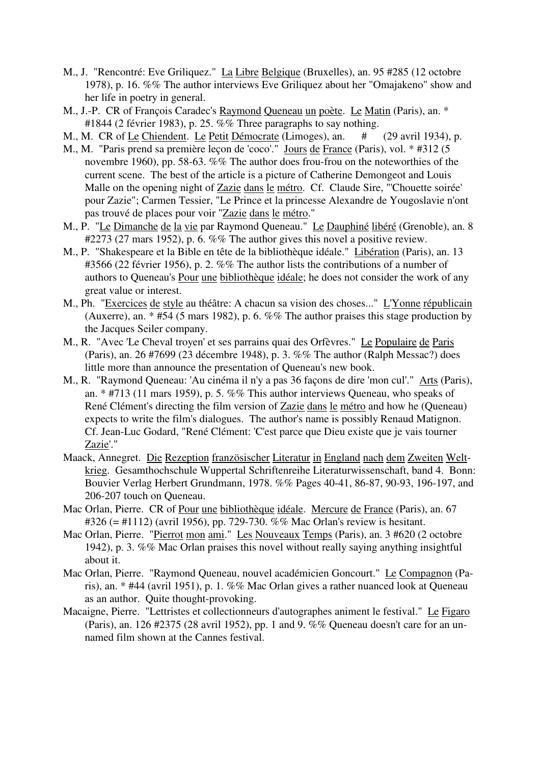- M., J. "Rencontré: Eve Griliquez." La Libre Belgique (Bruxelles), an. 95 #285 (12 octobre 1978), p. 16. %% The author interviews Eve Griliquez about her "Omajakeno" show and her life in poetry in general.
- M., J.-P. CR of François Caradec's Raymond Queneau un poète. Le Matin (Paris), an. \* #1844 (2 février 1983), p. 25. %% Three paragraphs to say nothing.
- M., M. CR of Le Chiendent. Le Petit Démocrate (Limoges), an. # (29 avril 1934), p.
- M., M. "Paris prend sa première leçon de 'coco'." Jours de France (Paris), vol. \* #312 (5 novembre 1960), pp. 58-63. %% The author does frou-frou on the noteworthies of the current scene. The best of the article is a picture of Catherine Demongeot and Louis Malle on the opening night of Zazie dans le métro. Cf. Claude Sire, "'Chouette soirée' pour Zazie"; Carmen Tessier, "Le Prince et la princesse Alexandre de Yougoslavie n'ont pas trouvé de places pour voir "Zazie dans le métro."
- M., P. "Le Dimanche de la vie par Raymond Queneau." Le Dauphiné libéré (Grenoble), an. 8 #2273 (27 mars 1952), p. 6. %% The author gives this novel a positive review.
- M., P. "Shakespeare et la Bible en tête de la bibliothèque idéale." Libération (Paris), an. 13 #3566 (22 février 1956), p. 2. %% The author lists the contributions of a number of authors to Queneau's Pour une bibliothèque idéale; he does not consider the work of any great value or interest.
- M., Ph. "Exercices de style au théâtre: A chacun sa vision des choses..." L'Yonne républicain (Auxerre), an. \* #54 (5 mars 1982), p. 6. %% The author praises this stage production by the Jacques Seiler company.
- M., R. "Avec 'Le Cheval troyen' et ses parrains quai des Orfèvres." Le Populaire de Paris (Paris), an. 26 #7699 (23 décembre 1948), p. 3. %% The author (Ralph Messac?) does little more than announce the presentation of Queneau's new book.
- M., R. "Raymond Queneau: 'Au cinéma il n'y a pas 36 façons de dire 'mon cul'." Arts (Paris), an. \* #713 (11 mars 1959), p. 5. %% This author interviews Queneau, who speaks of René Clément's directing the film version of Zazie dans le métro and how he (Queneau) expects to write the film's dialogues. The author's name is possibly Renaud Matignon. Cf. Jean-Luc Godard, "René Clément: 'C'est parce que Dieu existe que je vais tourner Zazie'."
- Maack, Annegret. Die Rezeption französischer Literatur in England nach dem Zweiten Weltkrieg. Gesamthochschule Wuppertal Schriftenreihe Literaturwissenschaft, band 4. Bonn: Bouvier Verlag Herbert Grundmann, 1978. %% Pages 40-41, 86-87, 90-93, 196-197, and 206-207 touch on Queneau.
- Mac Orlan, Pierre. CR of Pour une bibliothèque idéale. Mercure de France (Paris), an. 67 #326 (= #1112) (avril 1956), pp. 729-730. %% Mac Orlan's review is hesitant.
- Mac Orlan, Pierre. "Pierrot mon ami." Les Nouveaux Temps (Paris), an. 3 #620 (2 octobre 1942), p. 3. %% Mac Orlan praises this novel without really saying anything insightful about it.
- Mac Orlan, Pierre. "Raymond Queneau, nouvel académicien Goncourt." Le Compagnon (Paris), an. \* #44 (avril 1951), p. 1. %% Mac Orlan gives a rather nuanced look at Queneau as an author. Quite thought-provoking.
- Macaigne, Pierre. "Lettristes et collectionneurs d'autographes animent le festival." Le Figaro (Paris), an. 126 #2375 (28 avril 1952), pp. 1 and 9. %% Queneau doesn't care for an unnamed film shown at the Cannes festival.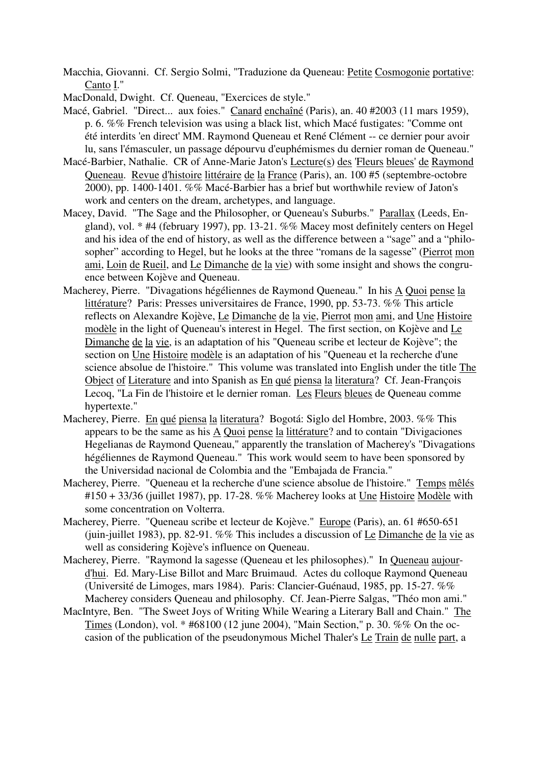Macchia, Giovanni. Cf. Sergio Solmi, "Traduzione da Queneau: Petite Cosmogonie portative: Canto I."

MacDonald, Dwight. Cf. Queneau, "Exercices de style."

- Macé, Gabriel. "Direct... aux foies." Canard enchaîné (Paris), an. 40 #2003 (11 mars 1959), p. 6. %% French television was using a black list, which Macé fustigates: "Comme ont été interdits 'en direct' MM. Raymond Queneau et René Clément -- ce dernier pour avoir lu, sans l'émasculer, un passage dépourvu d'euphémismes du dernier roman de Queneau."
- Macé-Barbier, Nathalie. CR of Anne-Marie Jaton's Lecture(s) des 'Fleurs bleues' de Raymond Queneau. Revue d'histoire littéraire de la France (Paris), an. 100 #5 (septembre-octobre 2000), pp. 1400-1401. %% Macé-Barbier has a brief but worthwhile review of Jaton's work and centers on the dream, archetypes, and language.
- Macey, David. "The Sage and the Philosopher, or Queneau's Suburbs." Parallax (Leeds, England), vol. \* #4 (february 1997), pp. 13-21. %% Macey most definitely centers on Hegel and his idea of the end of history, as well as the difference between a "sage" and a "philosopher" according to Hegel, but he looks at the three "romans de la sagesse" (Pierrot mon ami, Loin de Rueil, and Le Dimanche de la vie) with some insight and shows the congruence between Kojève and Queneau.
- Macherey, Pierre. "Divagations hégéliennes de Raymond Queneau." In his A Quoi pense la littérature? Paris: Presses universitaires de France, 1990, pp. 53-73. %% This article reflects on Alexandre Kojève, Le Dimanche de la vie, Pierrot mon ami, and Une Histoire modèle in the light of Queneau's interest in Hegel. The first section, on Kojève and Le Dimanche de la vie, is an adaptation of his "Queneau scribe et lecteur de Kojève"; the section on Une Histoire modèle is an adaptation of his "Queneau et la recherche d'une science absolue de l'histoire." This volume was translated into English under the title The Object of Literature and into Spanish as En qué piensa la literatura? Cf. Jean-François Lecoq, "La Fin de l'histoire et le dernier roman. Les Fleurs bleues de Queneau comme hypertexte."
- Macherey, Pierre. En qué piensa la literatura? Bogotá: Siglo del Hombre, 2003. %% This appears to be the same as his A Quoi pense la littérature? and to contain "Divigaciones Hegelianas de Raymond Queneau," apparently the translation of Macherey's "Divagations hégéliennes de Raymond Queneau." This work would seem to have been sponsored by the Universidad nacional de Colombia and the "Embajada de Francia."
- Macherey, Pierre. "Queneau et la recherche d'une science absolue de l'histoire." Temps mêlés #150 + 33/36 (juillet 1987), pp. 17-28. %% Macherey looks at Une Histoire Modèle with some concentration on Volterra.
- Macherey, Pierre. "Queneau scribe et lecteur de Kojève." Europe (Paris), an. 61 #650-651 (juin-juillet 1983), pp. 82-91. %% This includes a discussion of Le Dimanche de la vie as well as considering Kojève's influence on Queneau.
- Macherey, Pierre. "Raymond la sagesse (Queneau et les philosophes)." In Queneau aujourd'hui. Ed. Mary-Lise Billot and Marc Bruimaud. Actes du colloque Raymond Queneau (Université de Limoges, mars 1984). Paris: Clancier-Guénaud, 1985, pp. 15-27. %% Macherey considers Queneau and philosophy. Cf. Jean-Pierre Salgas, "Théo mon ami."
- MacIntyre, Ben. "The Sweet Joys of Writing While Wearing a Literary Ball and Chain." The Times (London), vol. \* #68100 (12 june 2004), "Main Section," p. 30. %% On the occasion of the publication of the pseudonymous Michel Thaler's Le Train de nulle part, a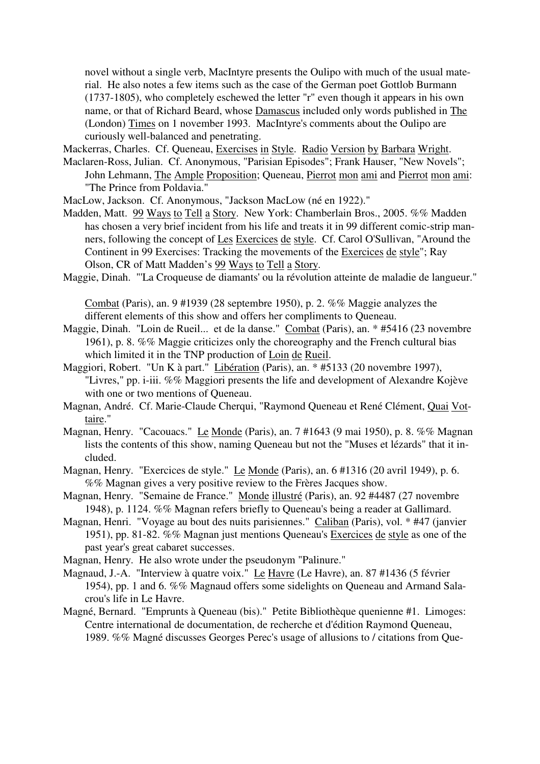novel without a single verb, MacIntyre presents the Oulipo with much of the usual material. He also notes a few items such as the case of the German poet Gottlob Burmann (1737-1805), who completely eschewed the letter "r" even though it appears in his own name, or that of Richard Beard, whose Damascus included only words published in The (London) Times on 1 november 1993. MacIntyre's comments about the Oulipo are curiously well-balanced and penetrating.

Mackerras, Charles. Cf. Queneau, Exercises in Style. Radio Version by Barbara Wright.

- Maclaren-Ross, Julian. Cf. Anonymous, "Parisian Episodes"; Frank Hauser, "New Novels"; John Lehmann, The Ample Proposition; Queneau, Pierrot mon ami and Pierrot mon ami: "The Prince from Poldavia."
- MacLow, Jackson. Cf. Anonymous, "Jackson MacLow (né en 1922)."
- Madden, Matt. 99 Ways to Tell a Story. New York: Chamberlain Bros., 2005. %% Madden has chosen a very brief incident from his life and treats it in 99 different comic-strip manners, following the concept of Les Exercices de style. Cf. Carol O'Sullivan, "Around the Continent in 99 Exercises: Tracking the movements of the Exercices de style"; Ray Olson, CR of Matt Madden's 99 Ways to Tell a Story.
- Maggie, Dinah. "'La Croqueuse de diamants' ou la révolution atteinte de maladie de langueur."

Combat (Paris), an. 9 #1939 (28 septembre 1950), p. 2. %% Maggie analyzes the different elements of this show and offers her compliments to Queneau.

- Maggie, Dinah. "Loin de Rueil... et de la danse." Combat (Paris), an. \* #5416 (23 novembre 1961), p. 8. %% Maggie criticizes only the choreography and the French cultural bias which limited it in the TNP production of Loin de Rueil.
- Maggiori, Robert. "Un K à part." Libération (Paris), an. \* #5133 (20 novembre 1997), "Livres," pp. i-iii. %% Maggiori presents the life and development of Alexandre Kojève with one or two mentions of Queneau.
- Magnan, André. Cf. Marie-Claude Cherqui, "Raymond Queneau et René Clément, Quai Vottaire."
- Magnan, Henry. "Cacouacs." Le Monde (Paris), an. 7 #1643 (9 mai 1950), p. 8. %% Magnan lists the contents of this show, naming Queneau but not the "Muses et lézards" that it included.
- Magnan, Henry. "Exercices de style." Le Monde (Paris), an. 6 #1316 (20 avril 1949), p. 6. %% Magnan gives a very positive review to the Frères Jacques show.
- Magnan, Henry. "Semaine de France." Monde illustré (Paris), an. 92 #4487 (27 novembre 1948), p. 1124. %% Magnan refers briefly to Queneau's being a reader at Gallimard.
- Magnan, Henri. "Voyage au bout des nuits parisiennes." Caliban (Paris), vol. \* #47 (janvier 1951), pp. 81-82. %% Magnan just mentions Queneau's Exercices de style as one of the past year's great cabaret successes.
- Magnan, Henry. He also wrote under the pseudonym "Palinure."
- Magnaud, J.-A. "Interview à quatre voix." Le Havre (Le Havre), an. 87 #1436 (5 février 1954), pp. 1 and 6. %% Magnaud offers some sidelights on Queneau and Armand Salacrou's life in Le Havre.
- Magné, Bernard. "Emprunts à Queneau (bis)." Petite Bibliothèque quenienne #1. Limoges: Centre international de documentation, de recherche et d'édition Raymond Queneau, 1989. %% Magné discusses Georges Perec's usage of allusions to / citations from Que-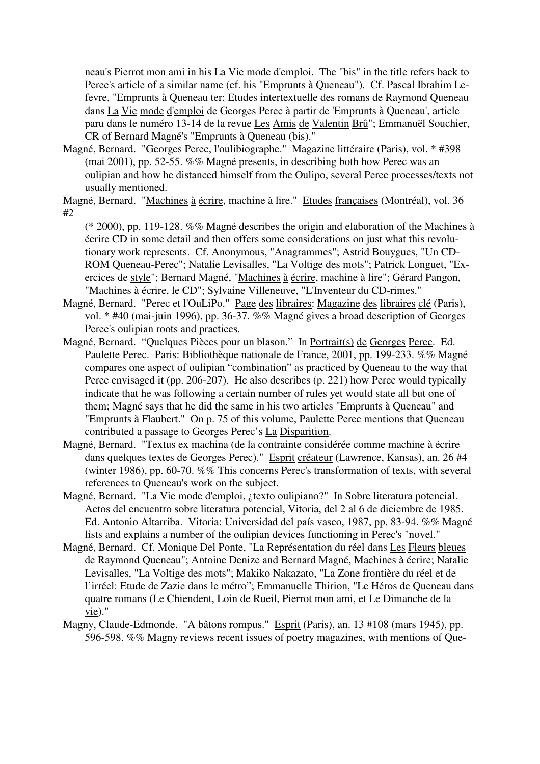neau's Pierrot mon ami in his La Vie mode d'emploi. The "bis" in the title refers back to Perec's article of a similar name (cf. his "Emprunts à Queneau"). Cf. Pascal Ibrahim Lefevre, "Emprunts à Queneau ter: Etudes intertextuelle des romans de Raymond Queneau dans La Vie mode d'emploi de Georges Perec à partir de 'Emprunts à Queneau', article paru dans le numéro 13-14 de la revue Les Amis de Valentin Brû"; Emmanuël Souchier, CR of Bernard Magné's "Emprunts à Queneau (bis)."

Magné, Bernard. "Georges Perec, l'oulibiographe." Magazine littéraire (Paris), vol. \* #398 (mai 2001), pp. 52-55. %% Magné presents, in describing both how Perec was an oulipian and how he distanced himself from the Oulipo, several Perec processes/texts not usually mentioned.

Magné, Bernard. "Machines à écrire, machine à lire." Etudes françaises (Montréal), vol. 36 #2

(\* 2000), pp. 119-128. %% Magné describes the origin and elaboration of the Machines à écrire CD in some detail and then offers some considerations on just what this revolutionary work represents. Cf. Anonymous, "Anagrammes"; Astrid Bouygues, "Un CD-ROM Queneau-Perec"; Natalie Levisalles, "La Voltige des mots"; Patrick Longuet, "Exercices de style"; Bernard Magné, "Machines à écrire, machine à lire"; Gérard Pangon, "Machines à écrire, le CD"; Sylvaine Villeneuve, "L'Inventeur du CD-rimes."

- Magné, Bernard. "Perec et l'OuLiPo." Page des libraires: Magazine des libraires clé (Paris), vol. \* #40 (mai-juin 1996), pp. 36-37. %% Magné gives a broad description of Georges Perec's oulipian roots and practices.
- Magné, Bernard. "Quelques Pièces pour un blason." In Portrait(s) de Georges Perec. Ed. Paulette Perec. Paris: Bibliothèque nationale de France, 2001, pp. 199-233. %% Magné compares one aspect of oulipian "combination" as practiced by Queneau to the way that Perec envisaged it (pp. 206-207). He also describes (p. 221) how Perec would typically indicate that he was following a certain number of rules yet would state all but one of them; Magné says that he did the same in his two articles "Emprunts à Queneau" and "Emprunts à Flaubert." On p. 75 of this volume, Paulette Perec mentions that Queneau contributed a passage to Georges Perec's La Disparition.
- Magné, Bernard. "Textus ex machina (de la contrainte considérée comme machine à écrire dans quelques textes de Georges Perec)." Esprit créateur (Lawrence, Kansas), an. 26 #4 (winter 1986), pp. 60-70. %% This concerns Perec's transformation of texts, with several references to Queneau's work on the subject.
- Magné, Bernard. "La Vie mode d'emploi, ¿texto oulipiano?" In Sobre literatura potencial. Actos del encuentro sobre literatura potencial, Vitoria, del 2 al 6 de diciembre de 1985. Ed. Antonio Altarriba. Vitoria: Universidad del país vasco, 1987, pp. 83-94. %% Magné lists and explains a number of the oulipian devices functioning in Perec's "novel."
- Magné, Bernard. Cf. Monique Del Ponte, "La Représentation du réel dans Les Fleurs bleues de Raymond Queneau"; Antoine Denize and Bernard Magné, Machines à écrire; Natalie Levisalles, "La Voltige des mots"; Makiko Nakazato, "La Zone frontière du réel et de l'irréel: Etude de Zazie dans le métro"; Emmanuelle Thirion, "Le Héros de Queneau dans quatre romans (Le Chiendent, Loin de Rueil, Pierrot mon ami, et Le Dimanche de la vie)."
- Magny, Claude-Edmonde. "A bâtons rompus." Esprit (Paris), an. 13 #108 (mars 1945), pp. 596-598. %% Magny reviews recent issues of poetry magazines, with mentions of Que-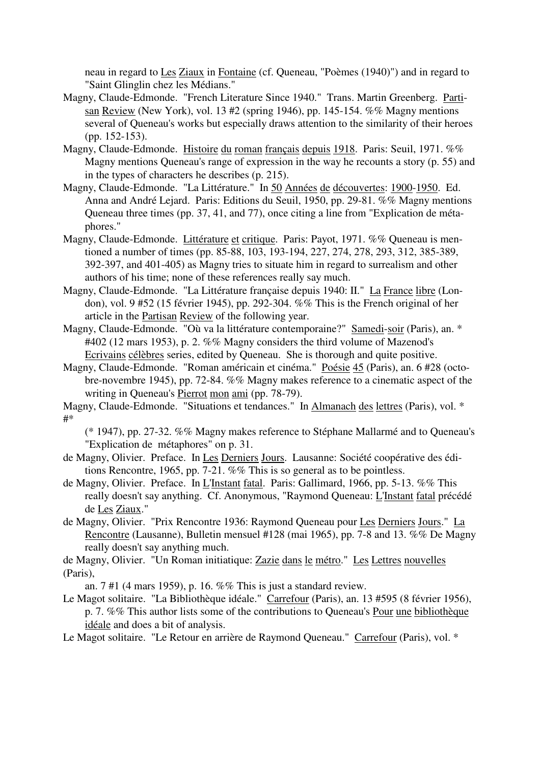neau in regard to Les Ziaux in Fontaine (cf. Queneau, "Poèmes (1940)") and in regard to "Saint Glinglin chez les Médians."

- Magny, Claude-Edmonde. "French Literature Since 1940." Trans. Martin Greenberg. Partisan Review (New York), vol. 13 #2 (spring 1946), pp. 145-154. %% Magny mentions several of Queneau's works but especially draws attention to the similarity of their heroes (pp. 152-153).
- Magny, Claude-Edmonde. Histoire du roman français depuis 1918. Paris: Seuil, 1971. %% Magny mentions Queneau's range of expression in the way he recounts a story (p. 55) and in the types of characters he describes (p. 215).
- Magny, Claude-Edmonde. "La Littérature." In 50 Années de découvertes: 1900-1950. Ed. Anna and André Lejard. Paris: Editions du Seuil, 1950, pp. 29-81. %% Magny mentions Queneau three times (pp. 37, 41, and 77), once citing a line from "Explication de métaphores."
- Magny, Claude-Edmonde. Littérature et critique. Paris: Payot, 1971. %% Queneau is mentioned a number of times (pp. 85-88, 103, 193-194, 227, 274, 278, 293, 312, 385-389, 392-397, and 401-405) as Magny tries to situate him in regard to surrealism and other authors of his time; none of these references really say much.
- Magny, Claude-Edmonde. "La Littérature française depuis 1940: II." La France libre (London), vol. 9 #52 (15 février 1945), pp. 292-304. %% This is the French original of her article in the Partisan Review of the following year.
- Magny, Claude-Edmonde. "Où va la littérature contemporaine?" Samedi-soir (Paris), an. \* #402 (12 mars 1953), p. 2. %% Magny considers the third volume of Mazenod's Ecrivains célèbres series, edited by Queneau. She is thorough and quite positive.
- Magny, Claude-Edmonde. "Roman américain et cinéma." Poésie 45 (Paris), an. 6 #28 (octobre-novembre 1945), pp. 72-84. %% Magny makes reference to a cinematic aspect of the writing in Queneau's Pierrot mon ami (pp. 78-79).
- Magny, Claude-Edmonde. "Situations et tendances." In Almanach des lettres (Paris), vol. \* #\*

(\* 1947), pp. 27-32. %% Magny makes reference to Stéphane Mallarmé and to Queneau's "Explication de métaphores" on p. 31.

- de Magny, Olivier. Preface. In Les Derniers Jours. Lausanne: Société coopérative des éditions Rencontre, 1965, pp. 7-21. %% This is so general as to be pointless.
- de Magny, Olivier. Preface. In L'Instant fatal. Paris: Gallimard, 1966, pp. 5-13. %% This really doesn't say anything. Cf. Anonymous, "Raymond Queneau: L'Instant fatal précédé de Les Ziaux."
- de Magny, Olivier. "Prix Rencontre 1936: Raymond Queneau pour Les Derniers Jours." La Rencontre (Lausanne), Bulletin mensuel #128 (mai 1965), pp. 7-8 and 13. %% De Magny really doesn't say anything much.
- de Magny, Olivier. "Un Roman initiatique: Zazie dans le métro." Les Lettres nouvelles (Paris),
	- an. 7 #1 (4 mars 1959), p. 16. %% This is just a standard review.
- Le Magot solitaire. "La Bibliothèque idéale." Carrefour (Paris), an. 13 #595 (8 février 1956), p. 7. %% This author lists some of the contributions to Queneau's Pour une bibliothèque idéale and does a bit of analysis.
- Le Magot solitaire. "Le Retour en arrière de Raymond Queneau." Carrefour (Paris), vol. \*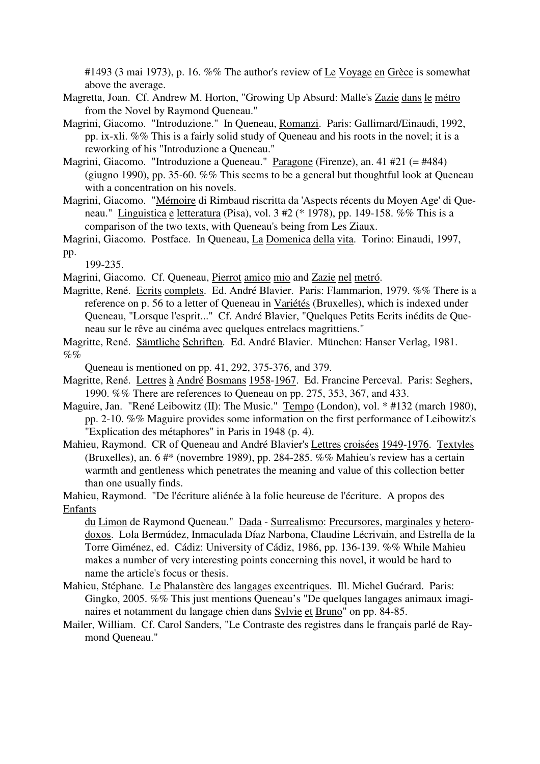#1493 (3 mai 1973), p. 16. %% The author's review of Le Voyage en Grèce is somewhat above the average.

- Magretta, Joan. Cf. Andrew M. Horton, "Growing Up Absurd: Malle's Zazie dans le métro from the Novel by Raymond Queneau."
- Magrini, Giacomo. "Introduzione." In Queneau, Romanzi. Paris: Gallimard/Einaudi, 1992, pp. ix-xli. %% This is a fairly solid study of Queneau and his roots in the novel; it is a reworking of his "Introduzione a Queneau."
- Magrini, Giacomo. "Introduzione a Queneau." Paragone (Firenze), an. 41 #21 (= #484) (giugno 1990), pp. 35-60. %% This seems to be a general but thoughtful look at Queneau with a concentration on his novels.
- Magrini, Giacomo. "Mémoire di Rimbaud riscritta da 'Aspects récents du Moyen Age' di Queneau." Linguistica e letteratura (Pisa), vol. 3 #2 (\* 1978), pp. 149-158. %% This is a comparison of the two texts, with Queneau's being from Les Ziaux.

199-235.

Magrini, Giacomo. Cf. Queneau, Pierrot amico mio and Zazie nel metró.

Magritte, René. Ecrits complets. Ed. André Blavier. Paris: Flammarion, 1979. %% There is a reference on p. 56 to a letter of Queneau in Variétés (Bruxelles), which is indexed under Queneau, "Lorsque l'esprit..." Cf. André Blavier, "Quelques Petits Ecrits inédits de Queneau sur le rêve au cinéma avec quelques entrelacs magrittiens."

Magritte, René. Sämtliche Schriften. Ed. André Blavier. München: Hanser Verlag, 1981.  $\%$ %

Queneau is mentioned on pp. 41, 292, 375-376, and 379.

- Magritte, René. Lettres à André Bosmans 1958-1967. Ed. Francine Perceval. Paris: Seghers, 1990. %% There are references to Queneau on pp. 275, 353, 367, and 433.
- Maguire, Jan. "René Leibowitz (II): The Music." Tempo (London), vol. \* #132 (march 1980), pp. 2-10. %% Maguire provides some information on the first performance of Leibowitz's "Explication des métaphores" in Paris in 1948 (p. 4).
- Mahieu, Raymond. CR of Queneau and André Blavier's Lettres croisées 1949-1976. Textyles (Bruxelles), an. 6 #\* (novembre 1989), pp. 284-285. %% Mahieu's review has a certain warmth and gentleness which penetrates the meaning and value of this collection better than one usually finds.

Mahieu, Raymond. "De l'écriture aliénée à la folie heureuse de l'écriture. A propos des Enfants

du Limon de Raymond Queneau." Dada - Surrealismo: Precursores, marginales y heterodoxos. Lola Bermúdez, Inmaculada Díaz Narbona, Claudine Lécrivain, and Estrella de la Torre Giménez, ed. Cádiz: University of Cádiz, 1986, pp. 136-139. %% While Mahieu makes a number of very interesting points concerning this novel, it would be hard to name the article's focus or thesis.

- Mahieu, Stéphane. Le Phalanstère des langages excentriques. Ill. Michel Guérard. Paris: Gingko, 2005. %% This just mentions Queneau's "De quelques langages animaux imaginaires et notamment du langage chien dans Sylvie et Bruno" on pp. 84-85.
- Mailer, William. Cf. Carol Sanders, "Le Contraste des registres dans le français parlé de Raymond Queneau."

Magrini, Giacomo. Postface. In Queneau, La Domenica della vita. Torino: Einaudi, 1997, pp.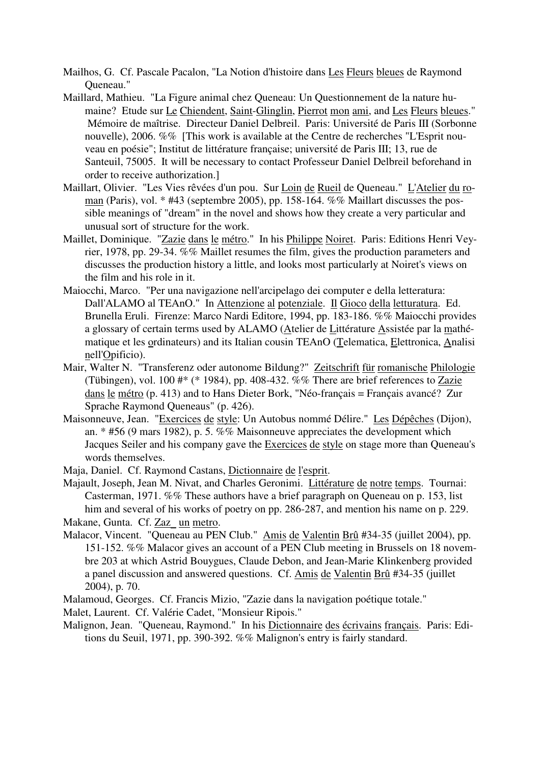- Mailhos, G. Cf. Pascale Pacalon, "La Notion d'histoire dans Les Fleurs bleues de Raymond Queneau."
- Maillard, Mathieu. "La Figure animal chez Queneau: Un Questionnement de la nature humaine? Etude sur Le Chiendent, Saint-Glinglin, Pierrot mon ami, and Les Fleurs bleues." Mémoire de maîtrise. Directeur Daniel Delbreil. Paris: Université de Paris III (Sorbonne nouvelle), 2006. %% [This work is available at the Centre de recherches "L'Esprit nouveau en poésie"; Institut de littérature française; université de Paris III; 13, rue de Santeuil, 75005. It will be necessary to contact Professeur Daniel Delbreil beforehand in order to receive authorization.]
- Maillart, Olivier. "Les Vies rêvées d'un pou. Sur Loin de Rueil de Queneau." L'Atelier du roman (Paris), vol. \* #43 (septembre 2005), pp. 158-164. %% Maillart discusses the possible meanings of "dream" in the novel and shows how they create a very particular and unusual sort of structure for the work.
- Maillet, Dominique. "Zazie dans le métro." In his Philippe Noiret. Paris: Editions Henri Veyrier, 1978, pp. 29-34. %% Maillet resumes the film, gives the production parameters and discusses the production history a little, and looks most particularly at Noiret's views on the film and his role in it.
- Maiocchi, Marco. "Per una navigazione nell'arcipelago dei computer e della letteratura: Dall'ALAMO al TEAnO." In Attenzione al potenziale. Il Gioco della letturatura. Ed. Brunella Eruli. Firenze: Marco Nardi Editore, 1994, pp. 183-186. %% Maiocchi provides a glossary of certain terms used by ALAMO (Atelier de Littérature Assistée par la mathématique et les ordinateurs) and its Italian cousin TEAnO (Telematica, Elettronica, Analisi nell'Opificio).
- Mair, Walter N. "Transferenz oder autonome Bildung?" Zeitschrift für romanische Philologie (Tübingen), vol. 100 #\* (\* 1984), pp. 408-432. %% There are brief references to Zazie dans le métro (p. 413) and to Hans Dieter Bork, "Néo-français = Français avancé? Zur Sprache Raymond Queneaus" (p. 426).
- Maisonneuve, Jean. "Exercices de style: Un Autobus nommé Délire." Les Dépêches (Dijon), an. \* #56 (9 mars 1982), p. 5. %% Maisonneuve appreciates the development which Jacques Seiler and his company gave the Exercices de style on stage more than Queneau's words themselves.
- Maja, Daniel. Cf. Raymond Castans, Dictionnaire de l'esprit.
- Majault, Joseph, Jean M. Nivat, and Charles Geronimi. Littérature de notre temps. Tournai: Casterman, 1971. %% These authors have a brief paragraph on Queneau on p. 153, list him and several of his works of poetry on pp. 286-287, and mention his name on p. 229.
- Makane, Gunta. Cf. Zaz\_ un metro.
- Malacor, Vincent. "Queneau au PEN Club." Amis de Valentin Brû #34-35 (juillet 2004), pp. 151-152. %% Malacor gives an account of a PEN Club meeting in Brussels on 18 novembre 203 at which Astrid Bouygues, Claude Debon, and Jean-Marie Klinkenberg provided a panel discussion and answered questions. Cf. Amis de Valentin Brû #34-35 (juillet 2004), p. 70.
- Malamoud, Georges. Cf. Francis Mizio, "Zazie dans la navigation poétique totale."
- Malet, Laurent. Cf. Valérie Cadet, "Monsieur Ripois."
- Malignon, Jean. "Queneau, Raymond." In his Dictionnaire des écrivains français. Paris: Editions du Seuil, 1971, pp. 390-392. %% Malignon's entry is fairly standard.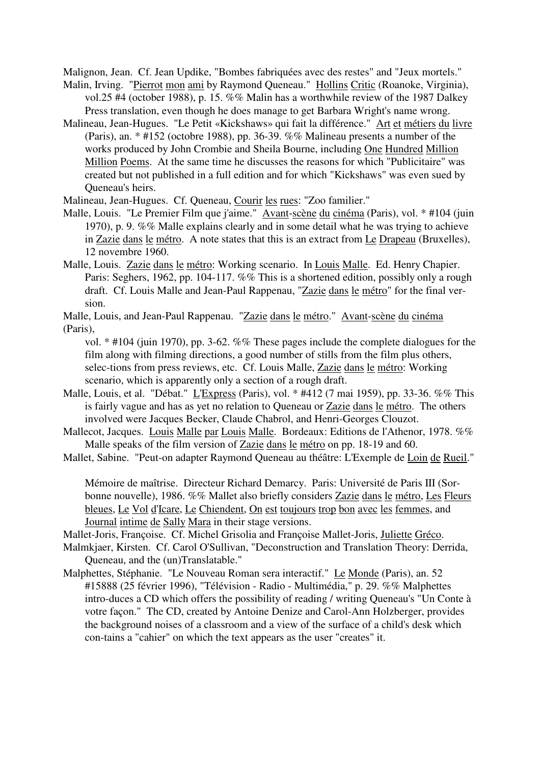Malignon, Jean. Cf. Jean Updike, "Bombes fabriquées avec des restes" and "Jeux mortels."

- Malin, Irving. "Pierrot mon ami by Raymond Queneau." Hollins Critic (Roanoke, Virginia), vol.25 #4 (october 1988), p. 15. %% Malin has a worthwhile review of the 1987 Dalkey Press translation, even though he does manage to get Barbara Wright's name wrong.
- Malineau, Jean-Hugues. "Le Petit «Kickshaws» qui fait la différence." Art et métiers du livre (Paris), an. \* #152 (octobre 1988), pp. 36-39. %% Malineau presents a number of the works produced by John Crombie and Sheila Bourne, including One Hundred Million Million Poems. At the same time he discusses the reasons for which "Publicitaire" was created but not published in a full edition and for which "Kickshaws" was even sued by Queneau's heirs.
- Malineau, Jean-Hugues. Cf. Queneau, Courir les rues: "Zoo familier."
- Malle, Louis. "Le Premier Film que j'aime." Avant-scène du cinéma (Paris), vol. \* #104 (juin 1970), p. 9. %% Malle explains clearly and in some detail what he was trying to achieve in Zazie dans le métro. A note states that this is an extract from Le Drapeau (Bruxelles), 12 novembre 1960.
- Malle, Louis. Zazie dans le métro: Working scenario. In Louis Malle. Ed. Henry Chapier. Paris: Seghers, 1962, pp. 104-117. %% This is a shortened edition, possibly only a rough draft. Cf. Louis Malle and Jean-Paul Rappenau, "Zazie dans le métro" for the final version.
- Malle, Louis, and Jean-Paul Rappenau. "Zazie dans le métro." Avant-scène du cinéma (Paris),
	- vol. \* #104 (juin 1970), pp. 3-62. %% These pages include the complete dialogues for the film along with filming directions, a good number of stills from the film plus others, selec-tions from press reviews, etc. Cf. Louis Malle, Zazie dans le métro: Working scenario, which is apparently only a section of a rough draft.
- Malle, Louis, et al. "Débat." L'Express (Paris), vol. \* #412 (7 mai 1959), pp. 33-36. %% This is fairly vague and has as yet no relation to Queneau or Zazie dans le métro. The others involved were Jacques Becker, Claude Chabrol, and Henri-Georges Clouzot.
- Mallecot, Jacques. Louis Malle par Louis Malle. Bordeaux: Editions de l'Athenor, 1978. %% Malle speaks of the film version of Zazie dans le métro on pp. 18-19 and 60.
- Mallet, Sabine. "Peut-on adapter Raymond Queneau au théâtre: L'Exemple de Loin de Rueil."

Mémoire de maîtrise. Directeur Richard Demarcy. Paris: Université de Paris III (Sorbonne nouvelle), 1986. %% Mallet also briefly considers Zazie dans le métro, Les Fleurs bleues, Le Vol d'Icare, Le Chiendent, On est toujours trop bon avec les femmes, and Journal intime de Sally Mara in their stage versions.

- Mallet-Joris, Françoise. Cf. Michel Grisolia and Françoise Mallet-Joris, Juliette Gréco.
- Malmkjaer, Kirsten. Cf. Carol O'Sullivan, "Deconstruction and Translation Theory: Derrida, Queneau, and the (un)Translatable."
- Malphettes, Stéphanie. "Le Nouveau Roman sera interactif." Le Monde (Paris), an. 52 #15888 (25 février 1996), "Télévision - Radio - Multimédia," p. 29. %% Malphettes intro-duces a CD which offers the possibility of reading / writing Queneau's "Un Conte à votre façon." The CD, created by Antoine Denize and Carol-Ann Holzberger, provides the background noises of a classroom and a view of the surface of a child's desk which con-tains a "cahier" on which the text appears as the user "creates" it.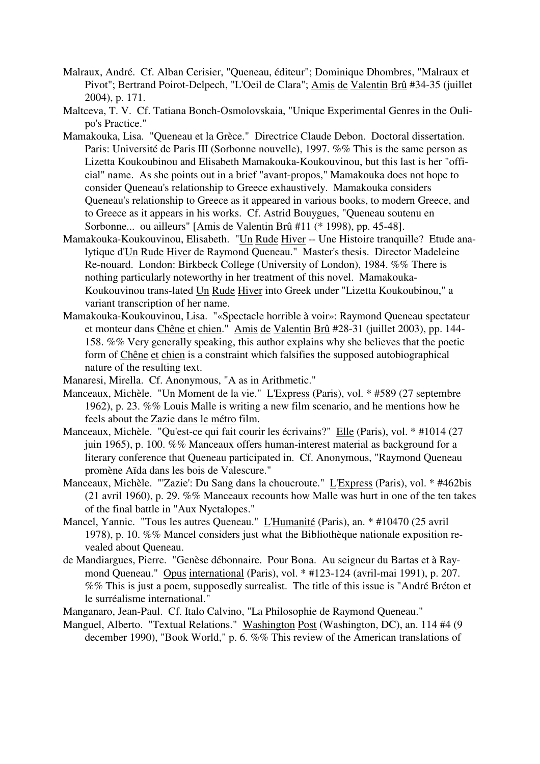- Malraux, André. Cf. Alban Cerisier, "Queneau, éditeur"; Dominique Dhombres, "Malraux et Pivot"; Bertrand Poirot-Delpech, "L'Oeil de Clara"; Amis de Valentin Brû #34-35 (juillet 2004), p. 171.
- Maltceva, T. V. Cf. Tatiana Bonch-Osmolovskaia, "Unique Experimental Genres in the Oulipo's Practice."
- Mamakouka, Lisa. "Queneau et la Grèce." Directrice Claude Debon. Doctoral dissertation. Paris: Université de Paris III (Sorbonne nouvelle), 1997. %% This is the same person as Lizetta Koukoubinou and Elisabeth Mamakouka-Koukouvinou, but this last is her "official" name. As she points out in a brief "avant-propos," Mamakouka does not hope to consider Queneau's relationship to Greece exhaustively. Mamakouka considers Queneau's relationship to Greece as it appeared in various books, to modern Greece, and to Greece as it appears in his works. Cf. Astrid Bouygues, "Queneau soutenu en Sorbonne... ou ailleurs" [Amis de Valentin Brû #11 (\* 1998), pp. 45-48].
- Mamakouka-Koukouvinou, Elisabeth. "Un Rude Hiver -- Une Histoire tranquille? Etude analytique d'Un Rude Hiver de Raymond Queneau." Master's thesis. Director Madeleine Re-nouard. London: Birkbeck College (University of London), 1984. %% There is nothing particularly noteworthy in her treatment of this novel. Mamakouka-Koukouvinou trans-lated Un Rude Hiver into Greek under "Lizetta Koukoubinou," a variant transcription of her name.
- Mamakouka-Koukouvinou, Lisa. "«Spectacle horrible à voir»: Raymond Queneau spectateur et monteur dans Chêne et chien." Amis de Valentin Brû #28-31 (juillet 2003), pp. 144- 158. %% Very generally speaking, this author explains why she believes that the poetic form of Chêne et chien is a constraint which falsifies the supposed autobiographical nature of the resulting text.
- Manaresi, Mirella. Cf. Anonymous, "A as in Arithmetic."
- Manceaux, Michèle. "Un Moment de la vie." L'Express (Paris), vol. \* #589 (27 septembre 1962), p. 23. %% Louis Malle is writing a new film scenario, and he mentions how he feels about the Zazie dans le métro film.
- Manceaux, Michèle. "Qu'est-ce qui fait courir les écrivains?" Elle (Paris), vol. \* #1014 (27 juin 1965), p. 100. %% Manceaux offers human-interest material as background for a literary conference that Queneau participated in. Cf. Anonymous, "Raymond Queneau promène Aïda dans les bois de Valescure."
- Manceaux, Michèle. "'Zazie': Du Sang dans la choucroute." L'Express (Paris), vol. \* #462bis (21 avril 1960), p. 29. %% Manceaux recounts how Malle was hurt in one of the ten takes of the final battle in "Aux Nyctalopes."
- Mancel, Yannic. "Tous les autres Queneau." L'Humanité (Paris), an. \* #10470 (25 avril 1978), p. 10. %% Mancel considers just what the Bibliothèque nationale exposition revealed about Queneau.
- de Mandiargues, Pierre. "Genèse débonnaire. Pour Bona. Au seigneur du Bartas et à Raymond Queneau." Opus international (Paris), vol. \* #123-124 (avril-mai 1991), p. 207. %% This is just a poem, supposedly surrealist. The title of this issue is "André Bréton et le surréalisme international."
- Manganaro, Jean-Paul. Cf. Italo Calvino, "La Philosophie de Raymond Queneau."
- Manguel, Alberto. "Textual Relations." Washington Post (Washington, DC), an. 114 #4 (9 december 1990), "Book World," p. 6. %% This review of the American translations of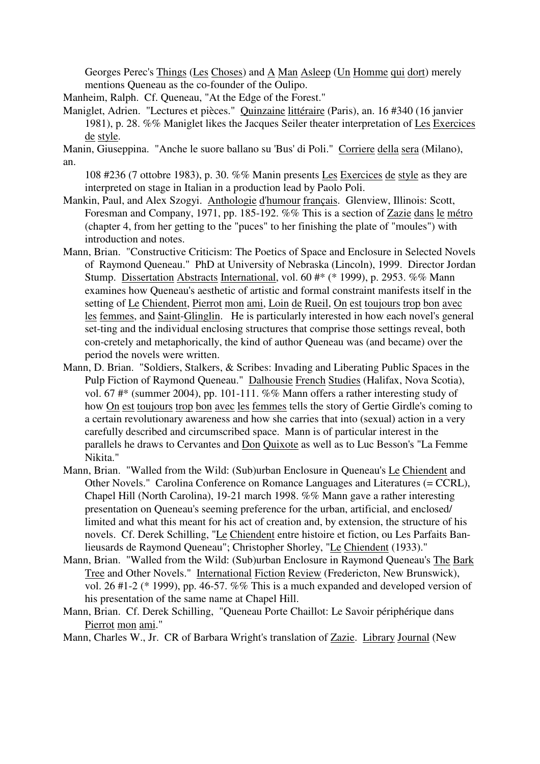Georges Perec's Things (Les Choses) and A Man Asleep (Un Homme qui dort) merely mentions Queneau as the co-founder of the Oulipo.

- Manheim, Ralph. Cf. Queneau, "At the Edge of the Forest."
- Maniglet, Adrien. "Lectures et pièces." Quinzaine littéraire (Paris), an. 16 #340 (16 janvier 1981), p. 28. %% Maniglet likes the Jacques Seiler theater interpretation of Les Exercices de style.
- Manin, Giuseppina. "Anche le suore ballano su 'Bus' di Poli." Corriere della sera (Milano), an.

108 #236 (7 ottobre 1983), p. 30. %% Manin presents Les Exercices de style as they are interpreted on stage in Italian in a production lead by Paolo Poli.

- Mankin, Paul, and Alex Szogyi. Anthologie d'humour français. Glenview, Illinois: Scott, Foresman and Company, 1971, pp. 185-192. %% This is a section of Zazie dans le métro (chapter 4, from her getting to the "puces" to her finishing the plate of "moules") with introduction and notes.
- Mann, Brian. "Constructive Criticism: The Poetics of Space and Enclosure in Selected Novels of Raymond Queneau." PhD at University of Nebraska (Lincoln), 1999. Director Jordan Stump. Dissertation Abstracts International, vol. 60 #\* (\* 1999), p. 2953. %% Mann examines how Queneau's aesthetic of artistic and formal constraint manifests itself in the setting of Le Chiendent, Pierrot mon ami, Loin de Rueil, On est toujours trop bon avec les femmes, and Saint-Glinglin. He is particularly interested in how each novel's general set-ting and the individual enclosing structures that comprise those settings reveal, both con-cretely and metaphorically, the kind of author Queneau was (and became) over the period the novels were written.
- Mann, D. Brian. "Soldiers, Stalkers, & Scribes: Invading and Liberating Public Spaces in the Pulp Fiction of Raymond Queneau." Dalhousie French Studies (Halifax, Nova Scotia), vol. 67 #\* (summer 2004), pp. 101-111. %% Mann offers a rather interesting study of how On est toujours trop bon avec les femmes tells the story of Gertie Girdle's coming to a certain revolutionary awareness and how she carries that into (sexual) action in a very carefully described and circumscribed space. Mann is of particular interest in the parallels he draws to Cervantes and Don Quixote as well as to Luc Besson's "La Femme Nikita."
- Mann, Brian. "Walled from the Wild: (Sub)urban Enclosure in Queneau's Le Chiendent and Other Novels." Carolina Conference on Romance Languages and Literatures (= CCRL), Chapel Hill (North Carolina), 19-21 march 1998. %% Mann gave a rather interesting presentation on Queneau's seeming preference for the urban, artificial, and enclosed/ limited and what this meant for his act of creation and, by extension, the structure of his novels. Cf. Derek Schilling, "Le Chiendent entre histoire et fiction, ou Les Parfaits Banlieusards de Raymond Queneau"; Christopher Shorley, "Le Chiendent (1933)."
- Mann, Brian. "Walled from the Wild: (Sub)urban Enclosure in Raymond Queneau's The Bark Tree and Other Novels." International Fiction Review (Fredericton, New Brunswick), vol. 26 #1-2 (\* 1999), pp. 46-57. %% This is a much expanded and developed version of his presentation of the same name at Chapel Hill.
- Mann, Brian. Cf. Derek Schilling, "Queneau Porte Chaillot: Le Savoir périphérique dans Pierrot mon ami."

Mann, Charles W., Jr. CR of Barbara Wright's translation of Zazie. Library Journal (New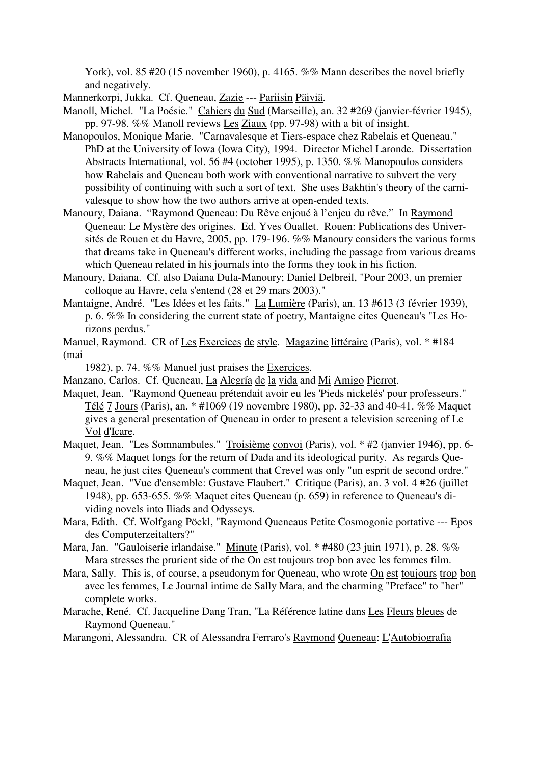York), vol. 85 #20 (15 november 1960), p. 4165. %% Mann describes the novel briefly and negatively.

Mannerkorpi, Jukka. Cf. Queneau, Zazie --- Pariisin Päiviä.

Manoll, Michel. "La Poésie." Cahiers du Sud (Marseille), an. 32 #269 (janvier-février 1945), pp. 97-98. %% Manoll reviews Les Ziaux (pp. 97-98) with a bit of insight.

- Manopoulos, Monique Marie. "Carnavalesque et Tiers-espace chez Rabelais et Queneau." PhD at the University of Iowa (Iowa City), 1994. Director Michel Laronde. Dissertation Abstracts International, vol. 56 #4 (october 1995), p. 1350. %% Manopoulos considers how Rabelais and Queneau both work with conventional narrative to subvert the very possibility of continuing with such a sort of text. She uses Bakhtin's theory of the carnivalesque to show how the two authors arrive at open-ended texts.
- Manoury, Daiana. "Raymond Queneau: Du Rêve enjoué à l'enjeu du rêve." In Raymond Queneau: Le Mystère des origines. Ed. Yves Ouallet. Rouen: Publications des Universités de Rouen et du Havre, 2005, pp. 179-196. %% Manoury considers the various forms that dreams take in Queneau's different works, including the passage from various dreams which Queneau related in his journals into the forms they took in his fiction.
- Manoury, Daiana. Cf. also Daiana Dula-Manoury; Daniel Delbreil, "Pour 2003, un premier colloque au Havre, cela s'entend (28 et 29 mars 2003)."
- Mantaigne, André. "Les Idées et les faits." La Lumière (Paris), an. 13 #613 (3 février 1939), p. 6. %% In considering the current state of poetry, Mantaigne cites Queneau's "Les Horizons perdus."
- Manuel, Raymond. CR of Les Exercices de style. Magazine littéraire (Paris), vol. \* #184 (mai

1982), p. 74. %% Manuel just praises the Exercices.

- Manzano, Carlos. Cf. Queneau, La Alegría de la vida and Mi Amigo Pierrot.
- Maquet, Jean. "Raymond Queneau prétendait avoir eu les 'Pieds nickelés' pour professeurs." Télé 7 Jours (Paris), an. \* #1069 (19 novembre 1980), pp. 32-33 and 40-41. %% Maquet gives a general presentation of Queneau in order to present a television screening of Le Vol d'Icare.
- Maquet, Jean. "Les Somnambules." Troisième convoi (Paris), vol. \* #2 (janvier 1946), pp. 6- 9. %% Maquet longs for the return of Dada and its ideological purity. As regards Queneau, he just cites Queneau's comment that Crevel was only "un esprit de second ordre."
- Maquet, Jean. "Vue d'ensemble: Gustave Flaubert." Critique (Paris), an. 3 vol. 4 #26 (juillet 1948), pp. 653-655. %% Maquet cites Queneau (p. 659) in reference to Queneau's dividing novels into Iliads and Odysseys.
- Mara, Edith. Cf. Wolfgang Pöckl, "Raymond Queneaus Petite Cosmogonie portative --- Epos des Computerzeitalters?"
- Mara, Jan. "Gauloiserie irlandaise." Minute (Paris), vol. \* #480 (23 juin 1971), p. 28. %% Mara stresses the prurient side of the On est toujours trop bon avec les femmes film.
- Mara, Sally. This is, of course, a pseudonym for Queneau, who wrote On est toujours trop bon avec les femmes, Le Journal intime de Sally Mara, and the charming "Preface" to "her" complete works.
- Marache, René. Cf. Jacqueline Dang Tran, "La Référence latine dans Les Fleurs bleues de Raymond Queneau."

Marangoni, Alessandra. CR of Alessandra Ferraro's Raymond Queneau: L'Autobiografia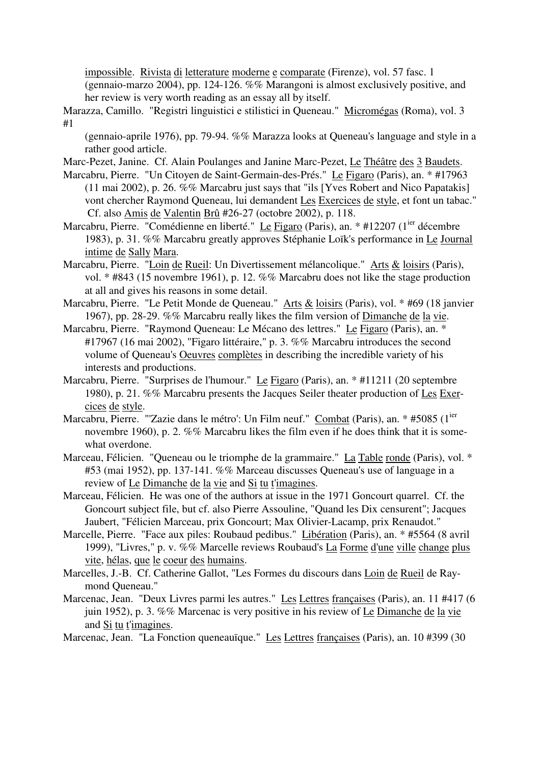impossible. Rivista di letterature moderne e comparate (Firenze), vol. 57 fasc. 1 (gennaio-marzo 2004), pp. 124-126. %% Marangoni is almost exclusively positive, and her review is very worth reading as an essay all by itself.

Marazza, Camillo. "Registri linguistici e stilistici in Queneau." Micromégas (Roma), vol. 3 #1

(gennaio-aprile 1976), pp. 79-94. %% Marazza looks at Queneau's language and style in a rather good article.

Marc-Pezet, Janine. Cf. Alain Poulanges and Janine Marc-Pezet, Le Théâtre des 3 Baudets.

- Marcabru, Pierre. "Un Citoyen de Saint-Germain-des-Prés." Le Figaro (Paris), an. \* #17963 (11 mai 2002), p. 26. %% Marcabru just says that "ils [Yves Robert and Nico Papatakis] vont chercher Raymond Queneau, lui demandent Les Exercices de style, et font un tabac." Cf. also Amis de Valentin Brû #26-27 (octobre 2002), p. 118.
- Marcabru, Pierre. "Comédienne en liberté." Le Figaro (Paris), an. \* #12207 (1<sup>ier</sup> décembre 1983), p. 31. %% Marcabru greatly approves Stéphanie Loïk's performance in Le Journal intime de Sally Mara.
- Marcabru, Pierre. "Loin de Rueil: Un Divertissement mélancolique." Arts & loisirs (Paris), vol. \* #843 (15 novembre 1961), p. 12. %% Marcabru does not like the stage production at all and gives his reasons in some detail.
- Marcabru, Pierre. "Le Petit Monde de Queneau." Arts & loisirs (Paris), vol. \* #69 (18 janvier 1967), pp. 28-29. %% Marcabru really likes the film version of Dimanche de la vie.
- Marcabru, Pierre. "Raymond Queneau: Le Mécano des lettres." Le Figaro (Paris), an. \* #17967 (16 mai 2002), "Figaro littéraire," p. 3. %% Marcabru introduces the second volume of Queneau's Oeuvres complètes in describing the incredible variety of his interests and productions.
- Marcabru, Pierre. "Surprises de l'humour." Le Figaro (Paris), an. \* #11211 (20 septembre 1980), p. 21. %% Marcabru presents the Jacques Seiler theater production of Les Exercices de style.
- Marcabru, Pierre. "'Zazie dans le métro': Un Film neuf." Combat (Paris), an. \* #5085 (1<sup>ier</sup> novembre 1960), p. 2. %% Marcabru likes the film even if he does think that it is somewhat overdone.
- Marceau, Félicien. "Queneau ou le triomphe de la grammaire." La Table ronde (Paris), vol. \* #53 (mai 1952), pp. 137-141. %% Marceau discusses Queneau's use of language in a review of Le Dimanche de la vie and Si tu t'imagines.
- Marceau, Félicien. He was one of the authors at issue in the 1971 Goncourt quarrel. Cf. the Goncourt subject file, but cf. also Pierre Assouline, "Quand les Dix censurent"; Jacques Jaubert, "Félicien Marceau, prix Goncourt; Max Olivier-Lacamp, prix Renaudot."
- Marcelle, Pierre. "Face aux piles: Roubaud pedibus." Libération (Paris), an. \* #5564 (8 avril 1999), "Livres," p. v. %% Marcelle reviews Roubaud's La Forme d'une ville change plus vite, hélas, que le coeur des humains.
- Marcelles, J.-B. Cf. Catherine Gallot, "Les Formes du discours dans Loin de Rueil de Raymond Queneau."
- Marcenac, Jean. "Deux Livres parmi les autres." Les Lettres françaises (Paris), an. 11 #417 (6 juin 1952), p. 3. %% Marcenac is very positive in his review of Le Dimanche de la vie and Si tu t'imagines.

Marcenac, Jean. "La Fonction queneauïque." Les Lettres françaises (Paris), an. 10 #399 (30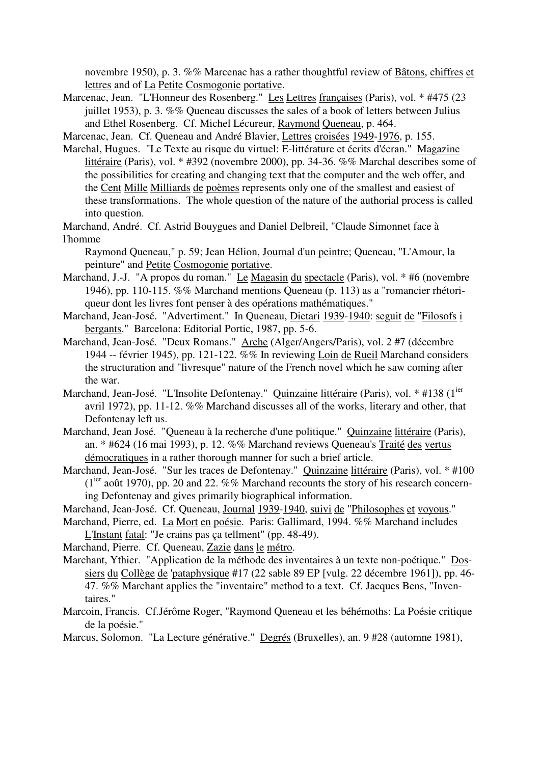novembre 1950), p. 3. %% Marcenac has a rather thoughtful review of Bâtons, chiffres et lettres and of La Petite Cosmogonie portative.

- Marcenac, Jean. "L'Honneur des Rosenberg." Les Lettres françaises (Paris), vol. \* #475 (23 juillet 1953), p. 3. %% Queneau discusses the sales of a book of letters between Julius and Ethel Rosenberg. Cf. Michel Lécureur, Raymond Queneau, p. 464.
- Marcenac, Jean. Cf. Queneau and André Blavier, Lettres croisées 1949-1976, p. 155.
- Marchal, Hugues. "Le Texte au risque du virtuel: E-littérature et écrits d'écran." Magazine littéraire (Paris), vol. \* #392 (novembre 2000), pp. 34-36. %% Marchal describes some of the possibilities for creating and changing text that the computer and the web offer, and the Cent Mille Milliards de poèmes represents only one of the smallest and easiest of these transformations. The whole question of the nature of the authorial process is called into question.
- Marchand, André. Cf. Astrid Bouygues and Daniel Delbreil, "Claude Simonnet face à l'homme
- Raymond Queneau," p. 59; Jean Hélion, Journal d'un peintre; Queneau, "L'Amour, la peinture" and Petite Cosmogonie portative.
- Marchand, J.-J. "A propos du roman." Le Magasin du spectacle (Paris), vol. \* #6 (novembre 1946), pp. 110-115. %% Marchand mentions Queneau (p. 113) as a "romancier rhétoriqueur dont les livres font penser à des opérations mathématiques."
- Marchand, Jean-José. "Advertiment." In Queneau, Dietari 1939-1940: seguit de "Filosofs i bergants." Barcelona: Editorial Portic, 1987, pp. 5-6.
- Marchand, Jean-José. "Deux Romans." Arche (Alger/Angers/Paris), vol. 2 #7 (décembre 1944 -- février 1945), pp. 121-122. %% In reviewing Loin de Rueil Marchand considers the structuration and "livresque" nature of the French novel which he saw coming after the war.
- Marchand, Jean-José. "L'Insolite Defontenay." Quinzaine littéraire (Paris), vol. \* #138 (1<sup>ier</sup> avril 1972), pp. 11-12. %% Marchand discusses all of the works, literary and other, that Defontenay left us.
- Marchand, Jean José. "Queneau à la recherche d'une politique." Quinzaine littéraire (Paris), an. \* #624 (16 mai 1993), p. 12. %% Marchand reviews Queneau's Traité des vertus démocratiques in a rather thorough manner for such a brief article.
- Marchand, Jean-José. "Sur les traces de Defontenay." Quinzaine littéraire (Paris), vol. \* #100  $(1<sup>ier</sup>$  août 1970), pp. 20 and 22. %% Marchand recounts the story of his research concerning Defontenay and gives primarily biographical information.
- Marchand, Jean-José. Cf. Queneau, Journal 1939-1940, suivi de "Philosophes et voyous."
- Marchand, Pierre, ed. La Mort en poésie. Paris: Gallimard, 1994. %% Marchand includes L'Instant fatal: "Je crains pas ça tellment" (pp. 48-49).
- Marchand, Pierre. Cf. Queneau, Zazie dans le métro.
- Marchant, Ythier. "Application de la méthode des inventaires à un texte non-poétique." Dossiers du Collège de 'pataphysique #17 (22 sable 89 EP [vulg. 22 décembre 1961]), pp. 46- 47. %% Marchant applies the "inventaire" method to a text. Cf. Jacques Bens, "Inventaires."
- Marcoin, Francis. Cf.Jérôme Roger, "Raymond Queneau et les béhémoths: La Poésie critique de la poésie."
- Marcus, Solomon. "La Lecture générative." Degrés (Bruxelles), an. 9 #28 (automne 1981),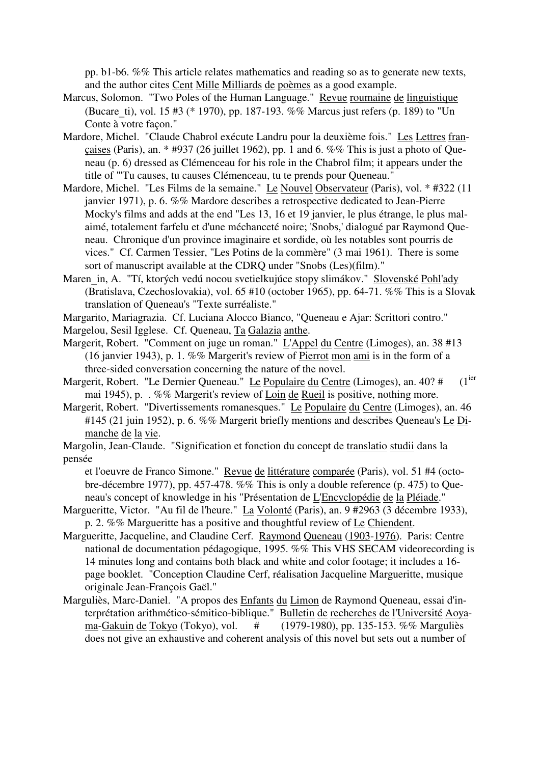pp. b1-b6. %% This article relates mathematics and reading so as to generate new texts, and the author cites Cent Mille Milliards de poèmes as a good example.

- Marcus, Solomon. "Two Poles of the Human Language." Revue roumaine de linguistique (Bucare\_ti), vol. 15 #3 (\* 1970), pp. 187-193. %% Marcus just refers (p. 189) to "Un Conte à votre façon."
- Mardore, Michel. "Claude Chabrol exécute Landru pour la deuxième fois." Les Lettres françaises (Paris), an. \* #937 (26 juillet 1962), pp. 1 and 6. %% This is just a photo of Queneau (p. 6) dressed as Clémenceau for his role in the Chabrol film; it appears under the title of "'Tu causes, tu causes Clémenceau, tu te prends pour Queneau."
- Mardore, Michel. "Les Films de la semaine." Le Nouvel Observateur (Paris), vol. \* #322 (11 janvier 1971), p. 6. %% Mardore describes a retrospective dedicated to Jean-Pierre Mocky's films and adds at the end "Les 13, 16 et 19 janvier, le plus étrange, le plus malaimé, totalement farfelu et d'une méchanceté noire; 'Snobs,' dialogué par Raymond Queneau. Chronique d'un province imaginaire et sordide, où les notables sont pourris de vices." Cf. Carmen Tessier, "Les Potins de la commère" (3 mai 1961). There is some sort of manuscript available at the CDRQ under "Snobs (Les)(film)."
- Maren in, A. "Tí, ktorých vedú nocou svetielkujúce stopy slimákov." Slovenské Pohl'ady (Bratislava, Czechoslovakia), vol. 65 #10 (october 1965), pp. 64-71. %% This is a Slovak translation of Queneau's "Texte surréaliste."

Margarito, Mariagrazia. Cf. Luciana Alocco Bianco, "Queneau e Ajar: Scrittori contro."

- Margelou, Sesil Igglese. Cf. Queneau, Ta Galazia anthe.
- Margerit, Robert. "Comment on juge un roman." L'Appel du Centre (Limoges), an. 38 #13 (16 janvier 1943), p. 1. %% Margerit's review of Pierrot mon ami is in the form of a three-sided conversation concerning the nature of the novel.
- Margerit, Robert. "Le Dernier Queneau." Le Populaire du Centre (Limoges), an. 40? #  $(1<sup>ier</sup>)$ mai 1945), p. . %% Margerit's review of Loin de Rueil is positive, nothing more.
- Margerit, Robert. "Divertissements romanesques." Le Populaire du Centre (Limoges), an. 46 #145 (21 juin 1952), p. 6. %% Margerit briefly mentions and describes Queneau's Le Dimanche de la vie.
- Margolin, Jean-Claude. "Signification et fonction du concept de translatio studii dans la pensée

et l'oeuvre de Franco Simone." Revue de littérature comparée (Paris), vol. 51 #4 (octobre-décembre 1977), pp. 457-478. %% This is only a double reference (p. 475) to Queneau's concept of knowledge in his "Présentation de L'Encyclopédie de la Pléiade."

- Margueritte, Victor. "Au fil de l'heure." La Volonté (Paris), an. 9 #2963 (3 décembre 1933), p. 2. %% Margueritte has a positive and thoughtful review of Le Chiendent.
- Margueritte, Jacqueline, and Claudine Cerf. Raymond Queneau (1903-1976). Paris: Centre national de documentation pédagogique, 1995. %% This VHS SECAM videorecording is 14 minutes long and contains both black and white and color footage; it includes a 16 page booklet. "Conception Claudine Cerf, réalisation Jacqueline Margueritte, musique originale Jean-François Gaël."
- Marguliès, Marc-Daniel. "A propos des Enfants du Limon de Raymond Queneau, essai d'interprétation arithmético-sémitico-biblique." Bulletin de recherches de l'Université Aoyama-Gakuin de Tokyo (Tokyo), vol. # (1979-1980), pp. 135-153. %% Marguliès does not give an exhaustive and coherent analysis of this novel but sets out a number of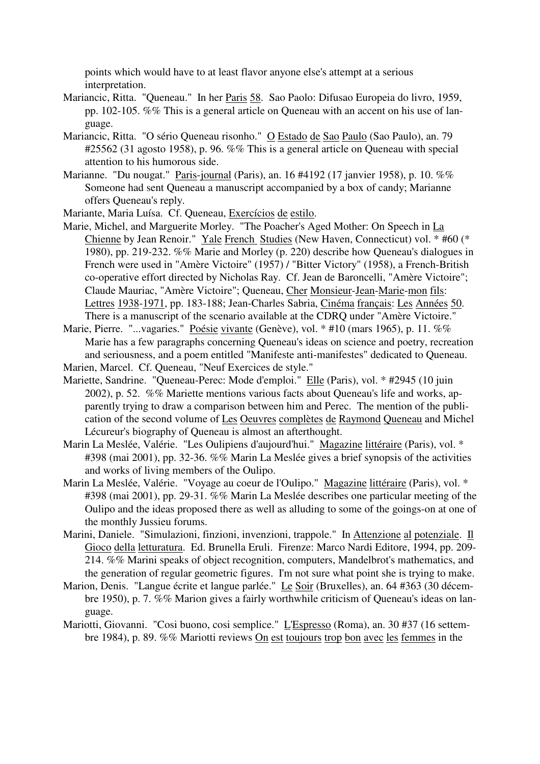points which would have to at least flavor anyone else's attempt at a serious interpretation.

- Mariancic, Ritta. "Queneau." In her Paris 58. Sao Paolo: Difusao Europeia do livro, 1959, pp. 102-105. %% This is a general article on Queneau with an accent on his use of language.
- Mariancic, Ritta. "O sério Queneau risonho." O Estado de Sao Paulo (Sao Paulo), an. 79 #25562 (31 agosto 1958), p. 96. %% This is a general article on Queneau with special attention to his humorous side.
- Marianne. "Du nougat." Paris-journal (Paris), an. 16 #4192 (17 janvier 1958), p. 10. %% Someone had sent Queneau a manuscript accompanied by a box of candy; Marianne offers Queneau's reply.
- Mariante, Maria Luísa. Cf. Queneau, Exercícios de estilo.
- Marie, Michel, and Marguerite Morley. "The Poacher's Aged Mother: On Speech in La Chienne by Jean Renoir." Yale French Studies (New Haven, Connecticut) vol. \* #60 (\* 1980), pp. 219-232. %% Marie and Morley (p. 220) describe how Queneau's dialogues in French were used in "Amère Victoire" (1957) / "Bitter Victory" (1958), a French-British co-operative effort directed by Nicholas Ray. Cf. Jean de Baroncelli, "Amère Victoire"; Claude Mauriac, "Amère Victoire"; Queneau, Cher Monsieur-Jean-Marie-mon fils: Lettres 1938-1971, pp. 183-188; Jean-Charles Sabria, Cinéma français: Les Années 50. There is a manuscript of the scenario available at the CDRQ under "Amère Victoire."
- Marie, Pierre. "...vagaries." Poésie vivante (Genève), vol. \* #10 (mars 1965), p. 11. %% Marie has a few paragraphs concerning Queneau's ideas on science and poetry, recreation and seriousness, and a poem entitled "Manifeste anti-manifestes" dedicated to Queneau.
- Marien, Marcel. Cf. Queneau, "Neuf Exercices de style."
- Mariette, Sandrine. "Queneau-Perec: Mode d'emploi." Elle (Paris), vol. \* #2945 (10 juin 2002), p. 52. %% Mariette mentions various facts about Queneau's life and works, apparently trying to draw a comparison between him and Perec. The mention of the publication of the second volume of Les Oeuvres complètes de Raymond Queneau and Michel Lécureur's biography of Queneau is almost an afterthought.
- Marin La Meslée, Valérie. "Les Oulipiens d'aujourd'hui." Magazine littéraire (Paris), vol. \* #398 (mai 2001), pp. 32-36. %% Marin La Meslée gives a brief synopsis of the activities and works of living members of the Oulipo.
- Marin La Meslée, Valérie. "Voyage au coeur de l'Oulipo." Magazine littéraire (Paris), vol. \* #398 (mai 2001), pp. 29-31. %% Marin La Meslée describes one particular meeting of the Oulipo and the ideas proposed there as well as alluding to some of the goings-on at one of the monthly Jussieu forums.
- Marini, Daniele. "Simulazioni, finzioni, invenzioni, trappole." In Attenzione al potenziale. Il Gioco della letturatura. Ed. Brunella Eruli. Firenze: Marco Nardi Editore, 1994, pp. 209- 214. %% Marini speaks of object recognition, computers, Mandelbrot's mathematics, and the generation of regular geometric figures. I'm not sure what point she is trying to make.
- Marion, Denis. "Langue écrite et langue parlée." Le Soir (Bruxelles), an. 64 #363 (30 décembre 1950), p. 7. %% Marion gives a fairly worthwhile criticism of Queneau's ideas on language.
- Mariotti, Giovanni. "Cosi buono, cosi semplice." L'Espresso (Roma), an. 30 #37 (16 settembre 1984), p. 89. %% Mariotti reviews On est toujours trop bon avec les femmes in the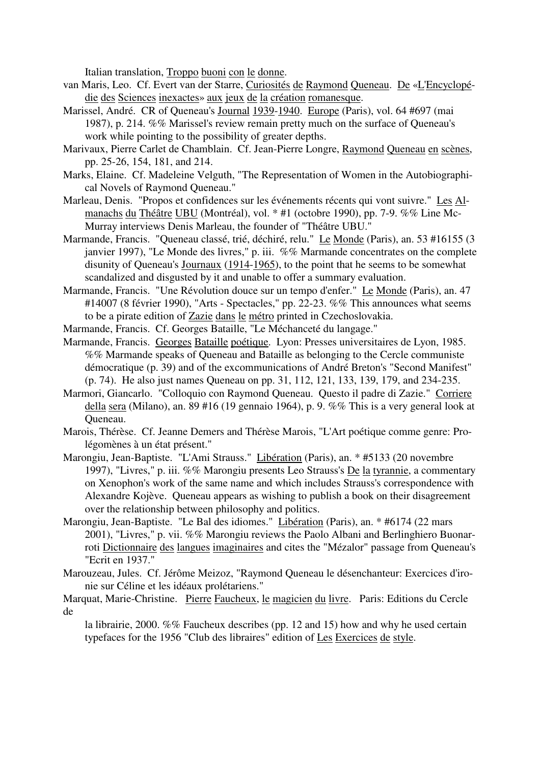Italian translation, Troppo buoni con le donne.

- van Maris, Leo. Cf. Evert van der Starre, Curiosités de Raymond Queneau. De «L'Encyclopédie des Sciences inexactes» aux jeux de la création romanesque.
- Marissel, André. CR of Queneau's Journal 1939-1940. Europe (Paris), vol. 64 #697 (mai 1987), p. 214. %% Marissel's review remain pretty much on the surface of Queneau's work while pointing to the possibility of greater depths.
- Marivaux, Pierre Carlet de Chamblain. Cf. Jean-Pierre Longre, Raymond Queneau en scènes, pp. 25-26, 154, 181, and 214.
- Marks, Elaine. Cf. Madeleine Velguth, "The Representation of Women in the Autobiographical Novels of Raymond Queneau."
- Marleau, Denis. "Propos et confidences sur les événements récents qui vont suivre." Les Almanachs du Théâtre UBU (Montréal), vol. \* #1 (octobre 1990), pp. 7-9. %% Line Mc-Murray interviews Denis Marleau, the founder of "Théâtre UBU."
- Marmande, Francis. "Queneau classé, trié, déchiré, relu." Le Monde (Paris), an. 53 #16155 (3 janvier 1997), "Le Monde des livres," p. iii. %% Marmande concentrates on the complete disunity of Queneau's Journaux (1914-1965), to the point that he seems to be somewhat scandalized and disgusted by it and unable to offer a summary evaluation.
- Marmande, Francis. "Une Révolution douce sur un tempo d'enfer." Le Monde (Paris), an. 47 #14007 (8 février 1990), "Arts - Spectacles," pp. 22-23. %% This announces what seems to be a pirate edition of Zazie dans le métro printed in Czechoslovakia.
- Marmande, Francis. Cf. Georges Bataille, "Le Méchanceté du langage."
- Marmande, Francis. Georges Bataille poétique. Lyon: Presses universitaires de Lyon, 1985. %% Marmande speaks of Queneau and Bataille as belonging to the Cercle communiste démocratique (p. 39) and of the excommunications of André Breton's "Second Manifest" (p. 74). He also just names Queneau on pp. 31, 112, 121, 133, 139, 179, and 234-235.
- Marmori, Giancarlo. "Colloquio con Raymond Queneau. Questo il padre di Zazie." Corriere della sera (Milano), an. 89 #16 (19 gennaio 1964), p. 9. %% This is a very general look at Queneau.
- Marois, Thérèse. Cf. Jeanne Demers and Thérèse Marois, "L'Art poétique comme genre: Prolégomènes à un état présent."
- Marongiu, Jean-Baptiste. "L'Ami Strauss." Libération (Paris), an. \* #5133 (20 novembre 1997), "Livres," p. iii. %% Marongiu presents Leo Strauss's De la tyrannie, a commentary on Xenophon's work of the same name and which includes Strauss's correspondence with Alexandre Kojève. Queneau appears as wishing to publish a book on their disagreement over the relationship between philosophy and politics.
- Marongiu, Jean-Baptiste. "Le Bal des idiomes." Libération (Paris), an. \* #6174 (22 mars 2001), "Livres," p. vii. %% Marongiu reviews the Paolo Albani and Berlinghiero Buonarroti Dictionnaire des langues imaginaires and cites the "Mézalor" passage from Queneau's "Ecrit en 1937."
- Marouzeau, Jules. Cf. Jérôme Meizoz, "Raymond Queneau le désenchanteur: Exercices d'ironie sur Céline et les idéaux prolétariens."

Marquat, Marie-Christine. Pierre Faucheux, le magicien du livre. Paris: Editions du Cercle de

la librairie, 2000. %% Faucheux describes (pp. 12 and 15) how and why he used certain typefaces for the 1956 "Club des libraires" edition of Les Exercices de style.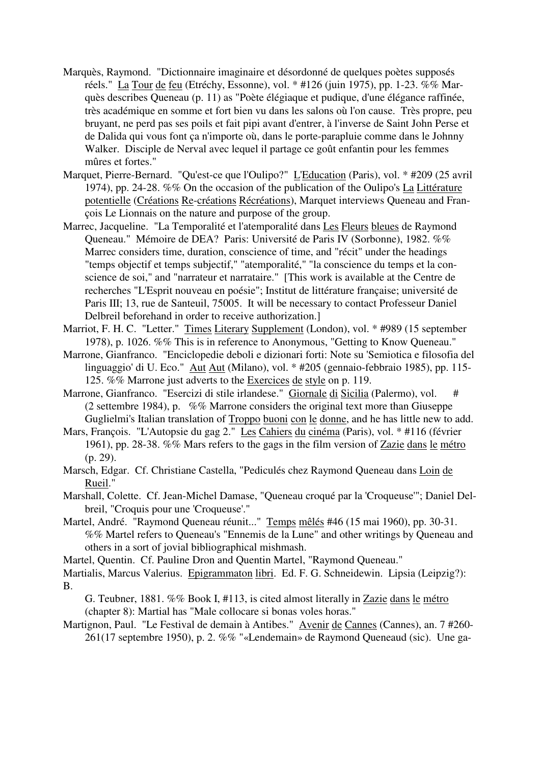- Marquès, Raymond. "Dictionnaire imaginaire et désordonné de quelques poètes supposés réels." La Tour de feu (Etréchy, Essonne), vol. \* #126 (juin 1975), pp. 1-23. %% Marquès describes Queneau (p. 11) as "Poète élégiaque et pudique, d'une élégance raffinée, très académique en somme et fort bien vu dans les salons où l'on cause. Très propre, peu bruyant, ne perd pas ses poils et fait pipi avant d'entrer, à l'inverse de Saint John Perse et de Dalida qui vous font ça n'importe où, dans le porte-parapluie comme dans le Johnny Walker. Disciple de Nerval avec lequel il partage ce goût enfantin pour les femmes mûres et fortes."
- Marquet, Pierre-Bernard. "Qu'est-ce que l'Oulipo?" L'Education (Paris), vol. \* #209 (25 avril 1974), pp. 24-28. %% On the occasion of the publication of the Oulipo's La Littérature potentielle (Créations Re-créations Récréations), Marquet interviews Queneau and François Le Lionnais on the nature and purpose of the group.
- Marrec, Jacqueline. "La Temporalité et l'atemporalité dans Les Fleurs bleues de Raymond Queneau." Mémoire de DEA? Paris: Université de Paris IV (Sorbonne), 1982. %% Marrec considers time, duration, conscience of time, and "récit" under the headings "temps objectif et temps subjectif," "atemporalité," "la conscience du temps et la conscience de soi," and "narrateur et narrataire." [This work is available at the Centre de recherches "L'Esprit nouveau en poésie"; Institut de littérature française; université de Paris III; 13, rue de Santeuil, 75005. It will be necessary to contact Professeur Daniel Delbreil beforehand in order to receive authorization.]
- Marriot, F. H. C. "Letter." Times Literary Supplement (London), vol. \* #989 (15 september 1978), p. 1026. %% This is in reference to Anonymous, "Getting to Know Queneau."
- Marrone, Gianfranco. "Enciclopedie deboli e dizionari forti: Note su 'Semiotica e filosofia del linguaggio' di U. Eco." Aut Aut (Milano), vol. \* #205 (gennaio-febbraio 1985), pp. 115-125. %% Marrone just adverts to the Exercices de style on p. 119.
- Marrone, Gianfranco. "Esercizi di stile irlandese." Giornale di Sicilia (Palermo), vol. # (2 settembre 1984), p. %% Marrone considers the original text more than Giuseppe Guglielmi's Italian translation of Troppo buoni con le donne, and he has little new to add.
- Mars, François. "L'Autopsie du gag 2." Les Cahiers du cinéma (Paris), vol. \* #116 (février 1961), pp. 28-38. %% Mars refers to the gags in the film version of Zazie dans le métro (p. 29).
- Marsch, Edgar. Cf. Christiane Castella, "Pediculés chez Raymond Queneau dans Loin de Rueil."
- Marshall, Colette. Cf. Jean-Michel Damase, "Queneau croqué par la 'Croqueuse'"; Daniel Delbreil, "Croquis pour une 'Croqueuse'."
- Martel, André. "Raymond Queneau réunit..." Temps mêlés #46 (15 mai 1960), pp. 30-31. %% Martel refers to Queneau's "Ennemis de la Lune" and other writings by Queneau and others in a sort of jovial bibliographical mishmash.
- Martel, Quentin. Cf. Pauline Dron and Quentin Martel, "Raymond Queneau."
- Martialis, Marcus Valerius. Epigrammaton libri. Ed. F. G. Schneidewin. Lipsia (Leipzig?): B.

G. Teubner, 1881. %% Book I, #113, is cited almost literally in Zazie dans le métro (chapter 8): Martial has "Male collocare si bonas voles horas."

Martignon, Paul. "Le Festival de demain à Antibes." Avenir de Cannes (Cannes), an. 7 #260- 261(17 septembre 1950), p. 2. %% "«Lendemain» de Raymond Queneaud (sic). Une ga